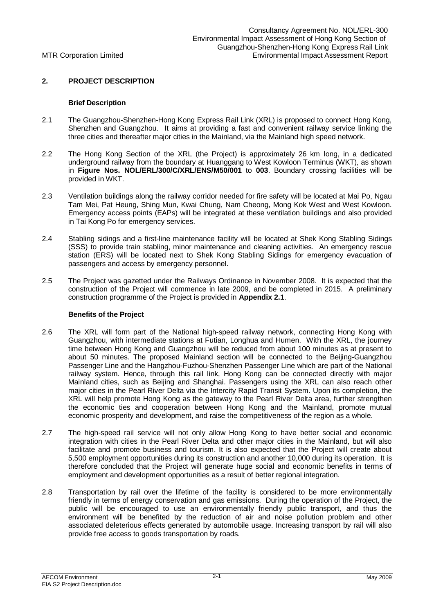### **2. PROJECT DESCRIPTION**

### **Brief Description**

- 2.1 The Guangzhou-Shenzhen-Hong Kong Express Rail Link (XRL) is proposed to connect Hong Kong, Shenzhen and Guangzhou. It aims at providing a fast and convenient railway service linking the three cities and thereafter major cities in the Mainland, via the Mainland high speed network.
- 2.2 The Hong Kong Section of the XRL (the Project) is approximately 26 km long, in a dedicated underground railway from the boundary at Huanggang to West Kowloon Terminus (WKT), as shown in **Figure Nos. NOL/ERL/300/C/XRL/ENS/M50/001** to **003**. Boundary crossing facilities will be provided in WKT.
- 2.3 Ventilation buildings along the railway corridor needed for fire safety will be located at Mai Po, Ngau Tam Mei, Pat Heung, Shing Mun, Kwai Chung, Nam Cheong, Mong Kok West and West Kowloon. Emergency access points (EAPs) will be integrated at these ventilation buildings and also provided in Tai Kong Po for emergency services.
- 2.4 Stabling sidings and a first-line maintenance facility will be located at Shek Kong Stabling Sidings (SSS) to provide train stabling, minor maintenance and cleaning activities. An emergency rescue station (ERS) will be located next to Shek Kong Stabling Sidings for emergency evacuation of passengers and access by emergency personnel.
- 2.5 The Project was gazetted under the Railways Ordinance in November 2008. It is expected that the construction of the Project will commence in late 2009, and be completed in 2015. A preliminary construction programme of the Project is provided in **Appendix 2.1**.

### **Benefits of the Project**

- 2.6 The XRL will form part of the National high-speed railway network, connecting Hong Kong with Guangzhou, with intermediate stations at Futian, Longhua and Humen. With the XRL, the journey time between Hong Kong and Guangzhou will be reduced from about 100 minutes as at present to about 50 minutes. The proposed Mainland section will be connected to the Beijing-Guangzhou Passenger Line and the Hangzhou-Fuzhou-Shenzhen Passenger Line which are part of the National railway system. Hence, through this rail link, Hong Kong can be connected directly with major Mainland cities, such as Beijing and Shanghai. Passengers using the XRL can also reach other major cities in the Pearl River Delta via the Intercity Rapid Transit System. Upon its completion, the XRL will help promote Hong Kong as the gateway to the Pearl River Delta area, further strengthen the economic ties and cooperation between Hong Kong and the Mainland, promote mutual economic prosperity and development, and raise the competitiveness of the region as a whole.
- 2.7 The high-speed rail service will not only allow Hong Kong to have better social and economic integration with cities in the Pearl River Delta and other major cities in the Mainland, but will also facilitate and promote business and tourism. It is also expected that the Project will create about 5,500 employment opportunities during its construction and another 10,000 during its operation. It is therefore concluded that the Project will generate huge social and economic benefits in terms of employment and development opportunities as a result of better regional integration.
- 2.8 Transportation by rail over the lifetime of the facility is considered to be more environmentally friendly in terms of energy conservation and gas emissions. During the operation of the Project, the public will be encouraged to use an environmentally friendly public transport, and thus the environment will be benefited by the reduction of air and noise pollution problem and other associated deleterious effects generated by automobile usage. Increasing transport by rail will also provide free access to goods transportation by roads.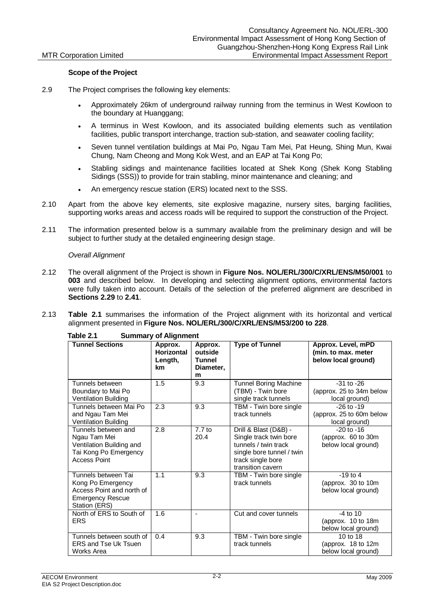### **Scope of the Project**

- 2.9 The Project comprises the following key elements:
	- Approximately 26km of underground railway running from the terminus in West Kowloon to the boundary at Huanggang;
	- A terminus in West Kowloon, and its associated building elements such as ventilation facilities, public transport interchange, traction sub-station, and seawater cooling facility;
	- Seven tunnel ventilation buildings at Mai Po, Ngau Tam Mei, Pat Heung, Shing Mun, Kwai Chung, Nam Cheong and Mong Kok West, and an EAP at Tai Kong Po;
	- Stabling sidings and maintenance facilities located at Shek Kong (Shek Kong Stabling Sidings (SSS)) to provide for train stabling, minor maintenance and cleaning; and
	- An emergency rescue station (ERS) located next to the SSS.
- 2.10 Apart from the above key elements, site explosive magazine, nursery sites, barging facilities, supporting works areas and access roads will be required to support the construction of the Project.
- 2.11 The information presented below is a summary available from the preliminary design and will be subject to further study at the detailed engineering design stage.

### *Overall Alignment*

- 2.12 The overall alignment of the Project is shown in **Figure Nos. NOL/ERL/300/C/XRL/ENS/M50/001** to **003** and described below. In developing and selecting alignment options, environmental factors were fully taken into account. Details of the selection of the preferred alignment are described in **Sections 2.29** to **2.41**.
- 2.13 **Table 2.1** summarises the information of the Project alignment with its horizontal and vertical alignment presented in **Figure Nos. NOL/ERL/300/C/XRL/ENS/M53/200 to 228**.

| <b>Tunnel Sections</b>                                                                                            | Approx.<br><b>Horizontal</b><br>Length,<br><b>km</b> | Approx.<br>outside<br>Tunnel<br>Diameter,<br>m | <b>Type of Tunnel</b>                                                                                                                          | Approx. Level, mPD<br>(min. to max. meter<br>below local ground) |
|-------------------------------------------------------------------------------------------------------------------|------------------------------------------------------|------------------------------------------------|------------------------------------------------------------------------------------------------------------------------------------------------|------------------------------------------------------------------|
| Tunnels between<br>Boundary to Mai Po<br>Ventilation Building                                                     | 1.5                                                  | 9.3                                            | <b>Tunnel Boring Machine</b><br>(TBM) - Twin bore<br>single track tunnels                                                                      | $-31$ to $-26$<br>(approx. 25 to 34m below<br>local ground)      |
| Tunnels between Mai Po<br>and Ngau Tam Mei<br>Ventilation Building                                                | 2.3                                                  | 9.3                                            | TBM - Twin bore single<br>track tunnels                                                                                                        | $-26$ to $-19$<br>(approx. 25 to 60m below<br>local ground)      |
| Tunnels between and<br>Ngau Tam Mei<br>Ventilation Building and<br>Tai Kong Po Emergency<br><b>Access Point</b>   | 2.8                                                  | $7.7$ to<br>20.4                               | Drill & Blast (D&B) -<br>Single track twin bore<br>tunnels / twin track<br>single bore tunnel / twin<br>track single bore<br>transition cavern | $-20$ to $-16$<br>(approx. 60 to 30m)<br>below local ground)     |
| Tunnels between Tai<br>Kong Po Emergency<br>Access Point and north of<br><b>Emergency Rescue</b><br>Station (ERS) | 1.1                                                  | 9.3                                            | TBM - Twin bore single<br>track tunnels                                                                                                        | $-19$ to 4<br>(approx. 30 to 10m<br>below local ground)          |
| North of ERS to South of<br><b>ERS</b>                                                                            | 1.6                                                  |                                                | Cut and cover tunnels                                                                                                                          | $-4$ to 10<br>(approx. 10 to 18m<br>below local ground)          |
| Tunnels between south of<br><b>ERS and Tse Uk Tsuen</b><br>Works Area                                             | 0.4                                                  | 9.3                                            | TBM - Twin bore single<br>track tunnels                                                                                                        | 10 to 18<br>(approx. 18 to 12m<br>below local ground)            |

**Table 2.1 Summary of Alignment**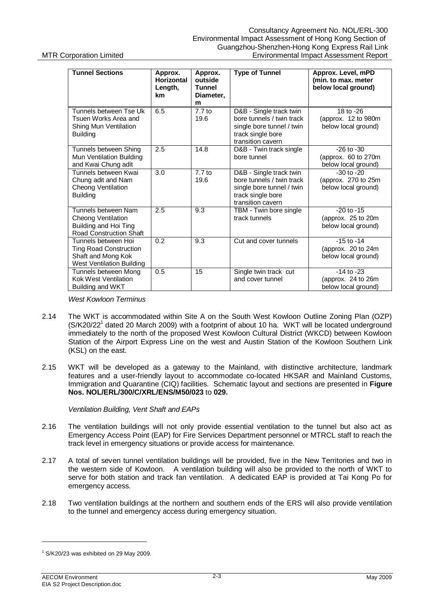| <b>Tunnel Sections</b>                                                                                         | Approx.<br><b>Horizontal</b><br>Length,<br>km | Approx.<br>outside<br><b>Tunnel</b><br>Diameter,<br>m | <b>Type of Tunnel</b>                                                                                                       | Approx. Level, mPD<br>(min. to max. meter<br>below local ground) |
|----------------------------------------------------------------------------------------------------------------|-----------------------------------------------|-------------------------------------------------------|-----------------------------------------------------------------------------------------------------------------------------|------------------------------------------------------------------|
| Tunnels between Tse Uk<br>Tsuen Works Area and<br>Shing Mun Ventilation<br><b>Building</b>                     | 6.5                                           | $7.7$ to<br>19.6                                      | D&B - Single track twin<br>bore tunnels / twin track<br>single bore tunnel / twin<br>track single bore<br>transition cavern | 18 to -26<br>(approx. 12 to 980m)<br>below local ground)         |
| Tunnels between Shing<br>Mun Ventilation Building<br>and Kwai Chung adit                                       | 2.5                                           | 14.8                                                  | D&B - Twin track single<br>bore tunnel                                                                                      | $-26$ to $-30$<br>(approx. 60 to 270m<br>below local ground)     |
| Tunnels between Kwai<br>Chung adit and Nam<br>Cheong Ventilation<br><b>Building</b>                            | 3.0                                           | $7.7$ to<br>19.6                                      | D&B - Single track twin<br>bore tunnels / twin track<br>single bore tunnel / twin<br>track single bore<br>transition cavern | $-30$ to $-20$<br>(approx. 270 to 25m<br>below local ground)     |
| Tunnels between Nam<br>Cheong Ventilation<br>Building and Hoi Ting<br><b>Road Construction Shaft</b>           | 2.5                                           | 9.3                                                   | TBM - Twin bore single<br>track tunnels                                                                                     | $-20$ to $-15$<br>(approx. 25 to 20m<br>below local ground)      |
| Tunnels between Hoi<br><b>Ting Road Construction</b><br>Shaft and Mong Kok<br><b>West Ventilation Building</b> | 0.2                                           | 9.3                                                   | Cut and cover tunnels                                                                                                       | $-15$ to $-14$<br>(approx. 20 to 24m<br>below local ground)      |
| Tunnels between Mong<br><b>Kok West Ventilation</b><br>Building and WKT                                        | 0.5                                           | 15                                                    | Single twin track cut<br>and cover tunnel                                                                                   | $-14$ to $-23$<br>(approx. 24 to 26m)<br>below local ground)     |

*West Kowloon Terminus*

- 2.14 The WKT is accommodated within Site A on the South West Kowloon Outline Zoning Plan (OZP) (S/K20/22<sup>1</sup> dated 20 March 2009) with a footprint of about 10 ha. WKT will be located underground immediately to the north of the proposed West Kowloon Cultural District (WKCD) between Kowloon Station of the Airport Express Line on the west and Austin Station of the Kowloon Southern Link (KSL) on the east.
- 2.15 WKT will be developed as a gateway to the Mainland, with distinctive architecture, landmark features and a user-friendly layout to accommodate co-located HKSAR and Mainland Customs, Immigration and Quarantine (CIQ) facilities. Schematic layout and sections are presented in **Figure Nos. NOL/ERL/300/C/XRL/ENS/M50/023** to **029.**

### *Ventilation Building, Vent Shaft and EAPs*

- 2.16 The ventilation buildings will not only provide essential ventilation to the tunnel but also act as Emergency Access Point (EAP) for Fire Services Department personnel or MTRCL staff to reach the track level in emergency situations or provide access for maintenance.
- 2.17 A total of seven tunnel ventilation buildings will be provided, five in the New Territories and two in the western side of Kowloon. A ventilation building will also be provided to the north of WKT to serve for both station and track fan ventilation. A dedicated EAP is provided at Tai Kong Po for emergency access.
- 2.18 Two ventilation buildings at the northern and southern ends of the ERS will also provide ventilation to the tunnel and emergency access during emergency situation.

 $1$  S/K20/23 was exhibited on 29 May 2009.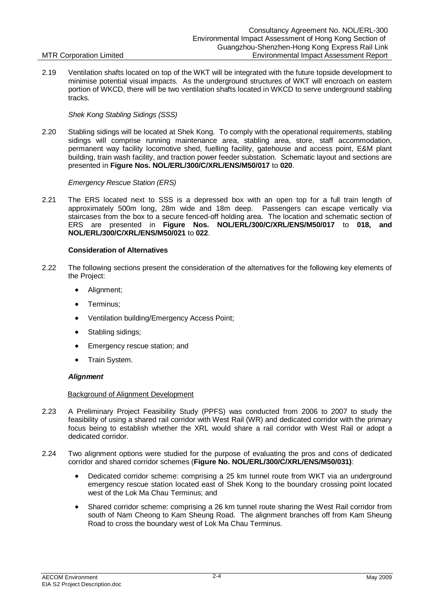2.19 Ventilation shafts located on top of the WKT will be integrated with the future topside development to minimise potential visual impacts. As the underground structures of WKT will encroach on eastern portion of WKCD, there will be two ventilation shafts located in WKCD to serve underground stabling tracks.

### *Shek Kong Stabling Sidings (SSS)*

2.20 Stabling sidings will be located at Shek Kong. To comply with the operational requirements, stabling sidings will comprise running maintenance area, stabling area, store, staff accommodation, permanent way facility locomotive shed, fuelling facility, gatehouse and access point, E&M plant building, train wash facility, and traction power feeder substation. Schematic layout and sections are presented in **Figure Nos. NOL/ERL/300/C/XRL/ENS/M50/017** to **020**.

### *Emergency Rescue Station (ERS)*

2.21 The ERS located next to SSS is a depressed box with an open top for a full train length of approximately 500m long, 28m wide and 18m deep. Passengers can escape vertically via staircases from the box to a secure fenced-off holding area. The location and schematic section of ERS are presented in **Figure Nos. NOL/ERL/300/C/XRL/ENS/M50/017** to **018, and NOL/ERL/300/C/XRL/ENS/M50/021** to **022**.

### **Consideration of Alternatives**

- 2.22 The following sections present the consideration of the alternatives for the following key elements of the Project:
	- Alignment;
	- Terminus;
	- Ventilation building/Emergency Access Point:
	- Stabling sidings;
	- Emergency rescue station; and
	- Train System.

### *Alignment*

### Background of Alignment Development

- 2.23 A Preliminary Project Feasibility Study (PPFS) was conducted from 2006 to 2007 to study the feasibility of using a shared rail corridor with West Rail (WR) and dedicated corridor with the primary focus being to establish whether the XRL would share a rail corridor with West Rail or adopt a dedicated corridor.
- 2.24 Two alignment options were studied for the purpose of evaluating the pros and cons of dedicated corridor and shared corridor schemes (**Figure No. NOL/ERL/300/C/XRL/ENS/M50/031)**:
	- Dedicated corridor scheme: comprising a 25 km tunnel route from WKT via an underground emergency rescue station located east of Shek Kong to the boundary crossing point located west of the Lok Ma Chau Terminus; and
	- Shared corridor scheme: comprising a 26 km tunnel route sharing the West Rail corridor from south of Nam Cheong to Kam Sheung Road. The alignment branches off from Kam Sheung Road to cross the boundary west of Lok Ma Chau Terminus.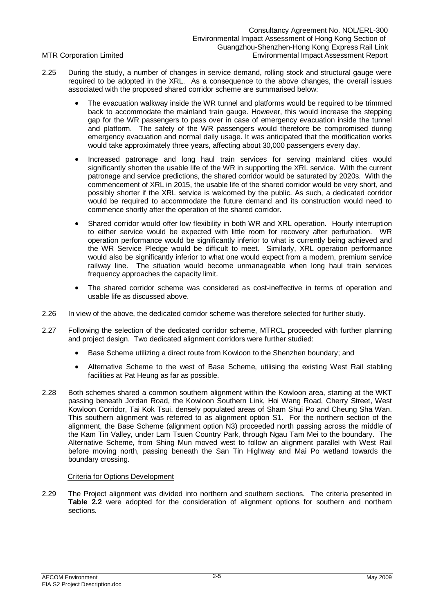- 2.25 During the study, a number of changes in service demand, rolling stock and structural gauge were required to be adopted in the XRL. As a consequence to the above changes, the overall issues associated with the proposed shared corridor scheme are summarised below:
	- The evacuation walkway inside the WR tunnel and platforms would be required to be trimmed back to accommodate the mainland train gauge. However, this would increase the stepping gap for the WR passengers to pass over in case of emergency evacuation inside the tunnel and platform. The safety of the WR passengers would therefore be compromised during emergency evacuation and normal daily usage. It was anticipated that the modification works would take approximately three years, affecting about 30,000 passengers every day.
	- Increased patronage and long haul train services for serving mainland cities would significantly shorten the usable life of the WR in supporting the XRL service. With the current patronage and service predictions, the shared corridor would be saturated by 2020s. With the commencement of XRL in 2015, the usable life of the shared corridor would be very short, and possibly shorter if the XRL service is welcomed by the public. As such, a dedicated corridor would be required to accommodate the future demand and its construction would need to commence shortly after the operation of the shared corridor.
	- Shared corridor would offer low flexibility in both WR and XRL operation. Hourly interruption to either service would be expected with little room for recovery after perturbation. WR operation performance would be significantly inferior to what is currently being achieved and the WR Service Pledge would be difficult to meet. Similarly, XRL operation performance would also be significantly inferior to what one would expect from a modern, premium service railway line. The situation would become unmanageable when long haul train services frequency approaches the capacity limit.
	- The shared corridor scheme was considered as cost-ineffective in terms of operation and usable life as discussed above.
- 2.26 In view of the above, the dedicated corridor scheme was therefore selected for further study.
- 2.27 Following the selection of the dedicated corridor scheme, MTRCL proceeded with further planning and project design. Two dedicated alignment corridors were further studied:
	- Base Scheme utilizing a direct route from Kowloon to the Shenzhen boundary; and
	- Alternative Scheme to the west of Base Scheme, utilising the existing West Rail stabling facilities at Pat Heung as far as possible.
- 2.28 Both schemes shared a common southern alignment within the Kowloon area, starting at the WKT passing beneath Jordan Road, the Kowloon Southern Link, Hoi Wang Road, Cherry Street, West Kowloon Corridor, Tai Kok Tsui, densely populated areas of Sham Shui Po and Cheung Sha Wan. This southern alignment was referred to as alignment option S1. For the northern section of the alignment, the Base Scheme (alignment option N3) proceeded north passing across the middle of the Kam Tin Valley, under Lam Tsuen Country Park, through Ngau Tam Mei to the boundary. The Alternative Scheme, from Shing Mun moved west to follow an alignment parallel with West Rail before moving north, passing beneath the San Tin Highway and Mai Po wetland towards the boundary crossing.

## Criteria for Options Development

2.29 The Project alignment was divided into northern and southern sections. The criteria presented in **Table 2.2** were adopted for the consideration of alignment options for southern and northern sections.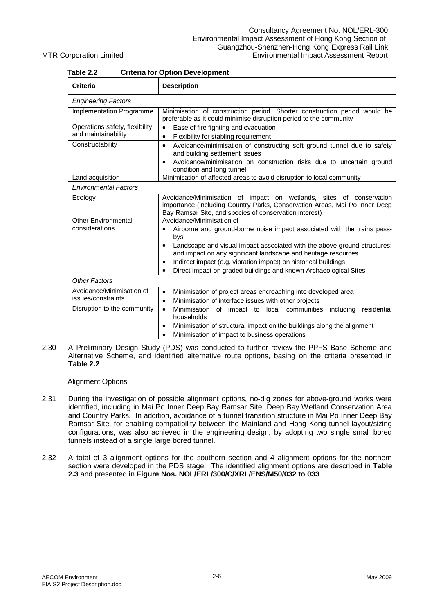| Table 2.2                                             | Criteria for Option Development                                                                                                                                                                             |  |  |  |
|-------------------------------------------------------|-------------------------------------------------------------------------------------------------------------------------------------------------------------------------------------------------------------|--|--|--|
| <b>Criteria</b>                                       | <b>Description</b>                                                                                                                                                                                          |  |  |  |
| <b>Engineering Factors</b>                            |                                                                                                                                                                                                             |  |  |  |
| Implementation Programme                              | Minimisation of construction period. Shorter construction period would be<br>preferable as it could minimise disruption period to the community                                                             |  |  |  |
| Operations safety, flexibility<br>and maintainability | Ease of fire fighting and evacuation<br>$\bullet$<br>Flexibility for stabling requirement<br>$\bullet$                                                                                                      |  |  |  |
| Constructability                                      | Avoidance/minimisation of constructing soft ground tunnel due to safety<br>$\bullet$<br>and building settlement issues                                                                                      |  |  |  |
|                                                       | Avoidance/minimisation on construction risks due to uncertain ground<br>$\bullet$<br>condition and long tunnel                                                                                              |  |  |  |
| Land acquisition                                      | Minimisation of affected areas to avoid disruption to local community                                                                                                                                       |  |  |  |
| <b>Environmental Factors</b>                          |                                                                                                                                                                                                             |  |  |  |
| Ecology                                               | Avoidance/Minimisation of impact on wetlands, sites of conservation<br>importance (including Country Parks, Conservation Areas, Mai Po Inner Deep<br>Bay Ramsar Site, and species of conservation interest) |  |  |  |
| <b>Other Environmental</b>                            | Avoidance/Minimisation of                                                                                                                                                                                   |  |  |  |
| considerations                                        | Airborne and ground-borne noise impact associated with the trains pass-<br>bys                                                                                                                              |  |  |  |
|                                                       | Landscape and visual impact associated with the above-ground structures;<br>and impact on any significant landscape and heritage resources                                                                  |  |  |  |
|                                                       | Indirect impact (e.g. vibration impact) on historical buildings<br>$\bullet$                                                                                                                                |  |  |  |
|                                                       | Direct impact on graded buildings and known Archaeological Sites                                                                                                                                            |  |  |  |
| <b>Other Factors</b>                                  |                                                                                                                                                                                                             |  |  |  |
| Avoidance/Minimisation of                             | Minimisation of project areas encroaching into developed area<br>$\bullet$                                                                                                                                  |  |  |  |
| issues/constraints                                    | Minimisation of interface issues with other projects<br>$\bullet$                                                                                                                                           |  |  |  |
| Disruption to the community                           | residential<br>of impact to local communities including<br>Minimisation<br>$\bullet$<br>households                                                                                                          |  |  |  |
|                                                       | Minimisation of structural impact on the buildings along the alignment<br>$\bullet$                                                                                                                         |  |  |  |
|                                                       | Minimisation of impact to business operations                                                                                                                                                               |  |  |  |

# **Table 2.2 Criteria for Option Development**

2.30 A Preliminary Design Study (PDS) was conducted to further review the PPFS Base Scheme and Alternative Scheme, and identified alternative route options, basing on the criteria presented in **Table 2.2**.

### Alignment Options

- 2.31 During the investigation of possible alignment options, no-dig zones for above-ground works were identified, including in Mai Po Inner Deep Bay Ramsar Site, Deep Bay Wetland Conservation Area and Country Parks. In addition, avoidance of a tunnel transition structure in Mai Po Inner Deep Bay Ramsar Site, for enabling compatibility between the Mainland and Hong Kong tunnel layout/sizing configurations, was also achieved in the engineering design, by adopting two single small bored tunnels instead of a single large bored tunnel.
- 2.32 A total of 3 alignment options for the southern section and 4 alignment options for the northern section were developed in the PDS stage. The identified alignment options are described in **Table 2.3** and presented in **Figure Nos. NOL/ERL/300/C/XRL/ENS/M50/032 to 033**.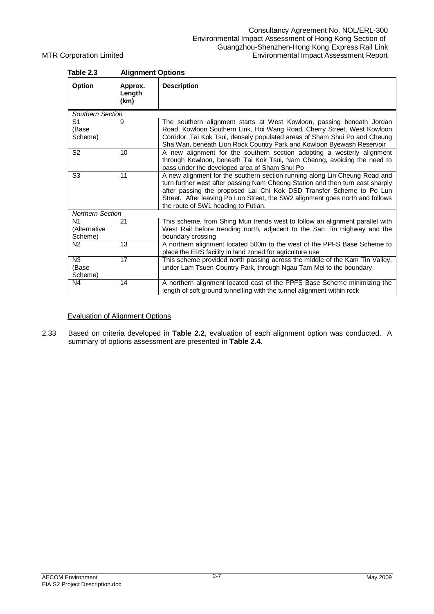| Table 2.3                                 | <b>Alignment Options</b>  |                                                                                                                                                                                                                                                                                                                                                             |
|-------------------------------------------|---------------------------|-------------------------------------------------------------------------------------------------------------------------------------------------------------------------------------------------------------------------------------------------------------------------------------------------------------------------------------------------------------|
| Option                                    | Approx.<br>Length<br>(km) | <b>Description</b>                                                                                                                                                                                                                                                                                                                                          |
| Southern Section                          |                           |                                                                                                                                                                                                                                                                                                                                                             |
| S1<br>(Base<br>Scheme)                    | 9                         | The southern alignment starts at West Kowloon, passing beneath Jordan<br>Road, Kowloon Southern Link, Hoi Wang Road, Cherry Street, West Kowloon<br>Corridor, Tai Kok Tsui, densely populated areas of Sham Shui Po and Cheung<br>Sha Wan, beneath Lion Rock Country Park and Kowloon Byewash Reservoir                                                     |
| S <sub>2</sub>                            | 10                        | A new alignment for the southern section adopting a westerly alignment<br>through Kowloon, beneath Tai Kok Tsui, Nam Cheong, avoiding the need to<br>pass under the developed area of Sham Shui Po                                                                                                                                                          |
| S3                                        | 11                        | A new alignment for the southern section running along Lin Cheung Road and<br>turn further west after passing Nam Cheong Station and then turn east sharply<br>after passing the proposed Lai Chi Kok DSD Transfer Scheme to Po Lun<br>Street. After leaving Po Lun Street, the SW2 alignment goes north and follows<br>the route of SW1 heading to Futian. |
| <b>Northern Section</b>                   |                           |                                                                                                                                                                                                                                                                                                                                                             |
| N <sub>1</sub><br>(Alternative<br>Scheme) | 21                        | This scheme, from Shing Mun trends west to follow an alignment parallel with<br>West Rail before trending north, adjacent to the San Tin Highway and the<br>boundary crossing                                                                                                                                                                               |
| N <sub>2</sub>                            | 13                        | A northern alignment located 500m to the west of the PPFS Base Scheme to<br>place the ERS facility in land zoned for agriculture use                                                                                                                                                                                                                        |
| N <sub>3</sub><br>(Base<br>Scheme)        | 17                        | This scheme provided north passing across the middle of the Kam Tin Valley,<br>under Lam Tsuen Country Park, through Ngau Tam Mei to the boundary                                                                                                                                                                                                           |
| N4                                        | 14                        | A northern alignment located east of the PPFS Base Scheme minimizing the<br>length of soft ground tunnelling with the tunnel alignment within rock                                                                                                                                                                                                          |

### Evaluation of Alignment Options

2.33 Based on criteria developed in **Table 2.2**, evaluation of each alignment option was conducted. A summary of options assessment are presented in **Table 2.4**.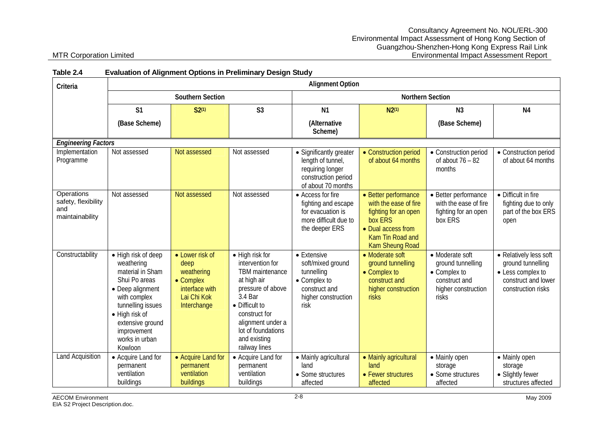| awi <del>c</del> 4.7                                               | Lvaluation of Allynment Options in Freminial y Design Otuus                                                                                                                                                       |                                                                                                    |                                                                                                                                                                                                                      |                                                                                                                |                                                                                                                                                      |                                                                                                       |                                                                                                               |
|--------------------------------------------------------------------|-------------------------------------------------------------------------------------------------------------------------------------------------------------------------------------------------------------------|----------------------------------------------------------------------------------------------------|----------------------------------------------------------------------------------------------------------------------------------------------------------------------------------------------------------------------|----------------------------------------------------------------------------------------------------------------|------------------------------------------------------------------------------------------------------------------------------------------------------|-------------------------------------------------------------------------------------------------------|---------------------------------------------------------------------------------------------------------------|
| Criteria                                                           | <b>Alignment Option</b>                                                                                                                                                                                           |                                                                                                    |                                                                                                                                                                                                                      |                                                                                                                |                                                                                                                                                      |                                                                                                       |                                                                                                               |
|                                                                    |                                                                                                                                                                                                                   | Southern Section                                                                                   |                                                                                                                                                                                                                      | <b>Northern Section</b>                                                                                        |                                                                                                                                                      |                                                                                                       |                                                                                                               |
|                                                                    | S <sub>1</sub>                                                                                                                                                                                                    | $S2^{(1)}$                                                                                         | S <sub>3</sub>                                                                                                                                                                                                       | N <sub>1</sub>                                                                                                 | N2(1)                                                                                                                                                | N <sub>3</sub>                                                                                        | N <sub>4</sub>                                                                                                |
|                                                                    | (Base Scheme)                                                                                                                                                                                                     |                                                                                                    |                                                                                                                                                                                                                      | (Alternative<br>Scheme)                                                                                        |                                                                                                                                                      | (Base Scheme)                                                                                         |                                                                                                               |
| <b>Engineering Factors</b>                                         |                                                                                                                                                                                                                   |                                                                                                    |                                                                                                                                                                                                                      |                                                                                                                |                                                                                                                                                      |                                                                                                       |                                                                                                               |
| Implementation<br>Programme                                        | Not assessed                                                                                                                                                                                                      | Not assessed                                                                                       | Not assessed                                                                                                                                                                                                         | • Significantly greater<br>length of tunnel,<br>requiring longer<br>construction period<br>of about 70 months  | • Construction period<br>of about 64 months                                                                                                          | • Construction period<br>of about $76 - 82$<br>months                                                 | • Construction period<br>of about 64 months                                                                   |
| <b>Operations</b><br>safety, flexibility<br>and<br>maintainability | Not assessed                                                                                                                                                                                                      | Not assessed                                                                                       | Not assessed                                                                                                                                                                                                         | • Access for fire<br>fighting and escape<br>for evacuation is<br>more difficult due to<br>the deeper ERS       | • Better performance<br>with the ease of fire<br>fighting for an open<br>box ERS<br>• Dual access from<br>Kam Tin Road and<br><b>Kam Sheung Road</b> | • Better performance<br>with the ease of fire<br>fighting for an open<br>box ERS                      | • Difficult in fire<br>fighting due to only<br>part of the box ERS<br>open                                    |
| Constructability                                                   | • High risk of deep<br>weathering<br>material in Sham<br>Shui Po areas<br>• Deep alignment<br>with complex<br>tunnelling issues<br>• High risk of<br>extensive ground<br>improvement<br>works in urban<br>Kowloon | • Lower risk of<br>deep<br>weathering<br>• Complex<br>interface with<br>Lai Chi Kok<br>Interchange | • High risk for<br>intervention for<br>TBM maintenance<br>at high air<br>pressure of above<br>3.4 Bar<br>• Difficult to<br>construct for<br>alignment under a<br>lot of foundations<br>and existing<br>railway lines | • Extensive<br>soft/mixed ground<br>tunnelling<br>• Complex to<br>construct and<br>higher construction<br>risk | • Moderate soft<br>ground tunnelling<br>• Complex to<br>construct and<br>higher construction<br>risks                                                | • Moderate soft<br>ground tunnelling<br>• Complex to<br>construct and<br>higher construction<br>risks | • Relatively less soft<br>ground tunnelling<br>• Less complex to<br>construct and lower<br>construction risks |
| <b>Land Acquisition</b>                                            | • Acquire Land for<br>permanent<br>ventilation<br>buildings                                                                                                                                                       | • Acquire Land for<br>permanent<br>ventilation<br>buildings                                        | • Acquire Land for<br>permanent<br>ventilation<br>buildings                                                                                                                                                          | • Mainly agricultural<br>land<br>• Some structures<br>affected                                                 | • Mainly agricultural<br>land<br>• Fewer structures<br>affected                                                                                      | • Mainly open<br>storage<br>• Some structures<br>affected                                             | • Mainly open<br>storage<br>• Slightly fewer<br>structures affected                                           |

### **Table 2.4 Evaluation of Alignment Options in Preliminary Design Study**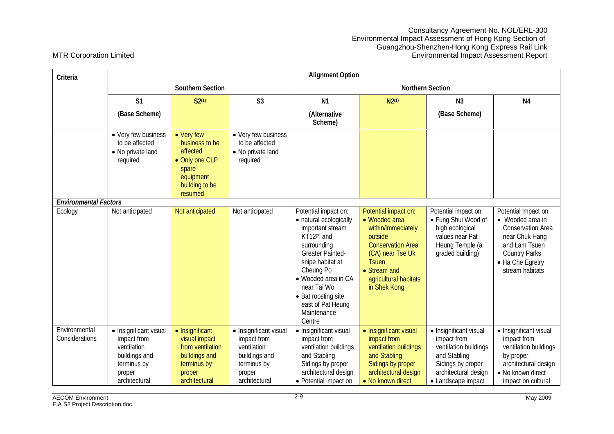| Criteria                        | <b>Alignment Option</b>                                                                                         |                                                                                                                 |                                                                                                                 |                                                                                                                                                                                                                                                                         |                                                                                                                                                                                                 |                                                                                                                                                   |                                                                                                                                                                        |
|---------------------------------|-----------------------------------------------------------------------------------------------------------------|-----------------------------------------------------------------------------------------------------------------|-----------------------------------------------------------------------------------------------------------------|-------------------------------------------------------------------------------------------------------------------------------------------------------------------------------------------------------------------------------------------------------------------------|-------------------------------------------------------------------------------------------------------------------------------------------------------------------------------------------------|---------------------------------------------------------------------------------------------------------------------------------------------------|------------------------------------------------------------------------------------------------------------------------------------------------------------------------|
|                                 |                                                                                                                 | Southern Section                                                                                                |                                                                                                                 | Northern Section                                                                                                                                                                                                                                                        |                                                                                                                                                                                                 |                                                                                                                                                   |                                                                                                                                                                        |
|                                 | S <sub>1</sub>                                                                                                  | $S2^{(1)}$                                                                                                      | S <sub>3</sub>                                                                                                  | N <sub>1</sub>                                                                                                                                                                                                                                                          | $N2^{(1)}$                                                                                                                                                                                      | N <sub>3</sub>                                                                                                                                    | N <sub>4</sub>                                                                                                                                                         |
|                                 | (Base Scheme)                                                                                                   |                                                                                                                 |                                                                                                                 | (Alternative<br>Scheme)                                                                                                                                                                                                                                                 |                                                                                                                                                                                                 | (Base Scheme)                                                                                                                                     |                                                                                                                                                                        |
|                                 | • Very few business<br>to be affected<br>• No private land<br>required                                          | • Very few<br>business to be<br>affected<br>• Only one CLP<br>spare<br>equipment<br>building to be<br>resumed   | • Very few business<br>to be affected<br>• No private land<br>required                                          |                                                                                                                                                                                                                                                                         |                                                                                                                                                                                                 |                                                                                                                                                   |                                                                                                                                                                        |
| <b>Environmental Factors</b>    |                                                                                                                 |                                                                                                                 |                                                                                                                 |                                                                                                                                                                                                                                                                         |                                                                                                                                                                                                 |                                                                                                                                                   |                                                                                                                                                                        |
| Ecology                         | Not anticipated                                                                                                 | Not anticipated                                                                                                 | Not anticipated                                                                                                 | Potential impact on:<br>• natural ecologically<br>important stream<br>KT12(2) and<br>surrounding<br><b>Greater Painted-</b><br>snipe habitat at<br>Cheung Po<br>• Wooded area in CA<br>near Tai Wo<br>• Bat roosting site<br>east of Pat Heung<br>Maintenance<br>Centre | Potential impact on:<br>• Wooded area<br>within/immediately<br>outside<br><b>Conservation Area</b><br>(CA) near Tse Uk<br><b>Tsuen</b><br>• Stream and<br>agricultural habitats<br>in Shek Kong | Potential impact on:<br>• Fung Shui Wood of<br>high ecological<br>values near Pat<br>Heung Temple (a<br>graded building)                          | Potential impact on:<br>• Wooded area in<br><b>Conservation Area</b><br>near Chuk Hang<br>and Lam Tsuen<br><b>Country Parks</b><br>• Ha Che Egretry<br>stream habitats |
| Environmental<br>Considerations | · Insignificant visual<br>impact from<br>ventilation<br>buildings and<br>terminus by<br>proper<br>architectural | • Insignificant<br>visual impact<br>from ventilation<br>buildings and<br>terminus by<br>proper<br>architectural | • Insignificant visual<br>impact from<br>ventilation<br>buildings and<br>terminus by<br>proper<br>architectural | • Insignificant visual<br>impact from<br>ventilation buildings<br>and Stabling<br>Sidings by proper<br>architectural design<br>• Potential impact on                                                                                                                    | • Insignificant visual<br>impact from<br>ventilation buildings<br>and Stabling<br>Sidings by proper<br>architectural design<br>• No known direct                                                | · Insignificant visual<br>impact from<br>ventilation buildings<br>and Stabling<br>Sidings by proper<br>architectural design<br>• Landscape impact | • Insignificant visual<br>impact from<br>ventilation buildings<br>by proper<br>architectural design<br>• No known direct<br>impact on cultural                         |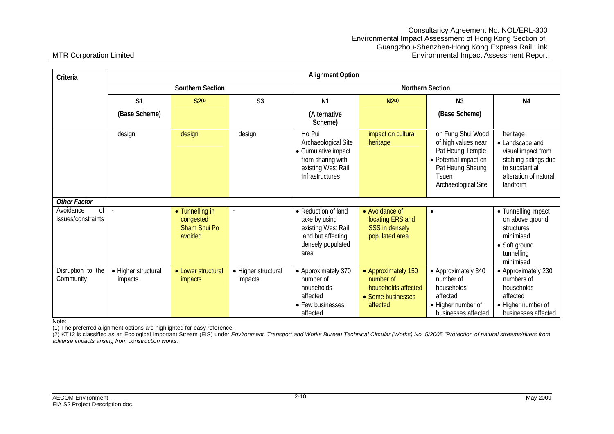| Criteria                              |                                |                                                                |                                | <b>Alignment Option</b>                                                                                            |                                                                                          |                                                                                                                                                  |                                                                                                                                  |  |  |
|---------------------------------------|--------------------------------|----------------------------------------------------------------|--------------------------------|--------------------------------------------------------------------------------------------------------------------|------------------------------------------------------------------------------------------|--------------------------------------------------------------------------------------------------------------------------------------------------|----------------------------------------------------------------------------------------------------------------------------------|--|--|
|                                       |                                | Southern Section                                               |                                |                                                                                                                    | Northern Section                                                                         |                                                                                                                                                  |                                                                                                                                  |  |  |
|                                       | S <sub>1</sub>                 | $S2^{(1)}$                                                     | S <sub>3</sub>                 | N <sub>1</sub>                                                                                                     | $N2^{(1)}$                                                                               | N <sub>3</sub>                                                                                                                                   | N <sub>4</sub>                                                                                                                   |  |  |
|                                       | (Base Scheme)                  |                                                                |                                | (Alternative<br>Scheme)                                                                                            |                                                                                          | (Base Scheme)                                                                                                                                    |                                                                                                                                  |  |  |
|                                       | design                         | design                                                         | design                         | Ho Pui<br>Archaeological Site<br>• Cumulative impact<br>from sharing with<br>existing West Rail<br>Infrastructures | impact on cultural<br>heritage                                                           | on Fung Shui Wood<br>of high values near<br>Pat Heung Temple<br>• Potential impact on<br>Pat Heung Sheung<br><b>Tsuen</b><br>Archaeological Site | heritage<br>• Landscape and<br>visual impact from<br>stabling sidings due<br>to substantial<br>alteration of natural<br>landform |  |  |
| Other Factor                          |                                |                                                                |                                |                                                                                                                    |                                                                                          |                                                                                                                                                  |                                                                                                                                  |  |  |
| of<br>Avoidance<br>issues/constraints |                                | • Tunnelling in<br>congested<br><b>Sham Shui Po</b><br>avoided | $\overline{\phantom{a}}$       | • Reduction of land<br>take by using<br>existing West Rail<br>land but affecting<br>densely populated<br>area      | • Avoidance of<br>locating ERS and<br>SSS in densely<br>populated area                   | $\bullet$                                                                                                                                        | • Tunnelling impact<br>on above ground<br>structures<br>minimised<br>• Soft ground<br>tunnelling<br>minimised                    |  |  |
| Disruption to the<br>Community        | • Higher structural<br>impacts | • Lower structural<br><i>impacts</i>                           | • Higher structural<br>impacts | • Approximately 370<br>number of<br>households<br>affected<br>• Few businesses<br>affected                         | • Approximately 150<br>number of<br>households affected<br>• Some businesses<br>affected | • Approximately 340<br>number of<br>households<br>affected<br>• Higher number of<br>businesses affected                                          | • Approximately 230<br>numbers of<br>households<br>affected<br>• Higher number of<br>businesses affected                         |  |  |

Note:

(1) The preferred alignment options are highlighted for easy reference.

(2) KT12 is classified as an Ecological Important Stream (EIS) under *Environment, Transport and Works Bureau Technical Circular (Works) No. 5/2005 "Protection of natural streams/rivers from adverse impacts arising from construction works*.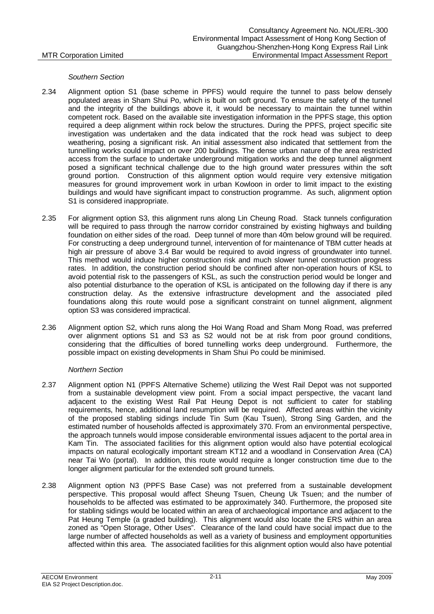### *Southern Section*

- 2.34 Alignment option S1 (base scheme in PPFS) would require the tunnel to pass below densely populated areas in Sham Shui Po, which is built on soft ground. To ensure the safety of the tunnel and the integrity of the buildings above it, it would be necessary to maintain the tunnel within competent rock. Based on the available site investigation information in the PPFS stage, this option required a deep alignment within rock below the structures. During the PPFS, project specific site investigation was undertaken and the data indicated that the rock head was subject to deep weathering, posing a significant risk. An initial assessment also indicated that settlement from the tunnelling works could impact on over 200 buildings. The dense urban nature of the area restricted access from the surface to undertake underground mitigation works and the deep tunnel alignment posed a significant technical challenge due to the high ground water pressures within the soft ground portion. Construction of this alignment option would require very extensive mitigation measures for ground improvement work in urban Kowloon in order to limit impact to the existing buildings and would have significant impact to construction programme. As such, alignment option S1 is considered inappropriate.
- 2.35 For alignment option S3, this alignment runs along Lin Cheung Road. Stack tunnels configuration will be required to pass through the narrow corridor constrained by existing highways and building foundation on either sides of the road. Deep tunnel of more than 40m below ground will be required. For constructing a deep underground tunnel, intervention of for maintenance of TBM cutter heads at high air pressure of above 3.4 Bar would be required to avoid ingress of groundwater into tunnel. This method would induce higher construction risk and much slower tunnel construction progress rates. In addition, the construction period should be confined after non-operation hours of KSL to avoid potential risk to the passengers of KSL, as such the construction period would be longer and also potential disturbance to the operation of KSL is anticipated on the following day if there is any construction delay. As the extensive infrastructure development and the associated piled foundations along this route would pose a significant constraint on tunnel alignment, alignment option S3 was considered impractical.
- 2.36 Alignment option S2, which runs along the Hoi Wang Road and Sham Mong Road, was preferred over alignment options S1 and S3 as S2 would not be at risk from poor ground conditions, considering that the difficulties of bored tunnelling works deep underground. Furthermore, the possible impact on existing developments in Sham Shui Po could be minimised.

### *Northern Section*

- 2.37 Alignment option N1 (PPFS Alternative Scheme) utilizing the West Rail Depot was not supported from a sustainable development view point. From a social impact perspective, the vacant land adjacent to the existing West Rail Pat Heung Depot is not sufficient to cater for stabling requirements, hence, additional land resumption will be required. Affected areas within the vicinity of the proposed stabling sidings include Tin Sum (Kau Tsuen), Strong Sing Garden, and the estimated number of households affected is approximately 370. From an environmental perspective, the approach tunnels would impose considerable environmental issues adjacent to the portal area in Kam Tin. The associated facilities for this alignment option would also have potential ecological impacts on natural ecologically important stream KT12 and a woodland in Conservation Area (CA) near Tai Wo (portal). In addition, this route would require a longer construction time due to the longer alignment particular for the extended soft ground tunnels.
- 2.38 Alignment option N3 (PPFS Base Case) was not preferred from a sustainable development perspective. This proposal would affect Sheung Tsuen, Cheung Uk Tsuen; and the number of households to be affected was estimated to be approximately 340. Furthermore, the proposed site for stabling sidings would be located within an area of archaeological importance and adjacent to the Pat Heung Temple (a graded building). This alignment would also locate the ERS within an area zoned as "Open Storage, Other Uses". Clearance of the land could have social impact due to the large number of affected households as well as a variety of business and employment opportunities affected within this area. The associated facilities for this alignment option would also have potential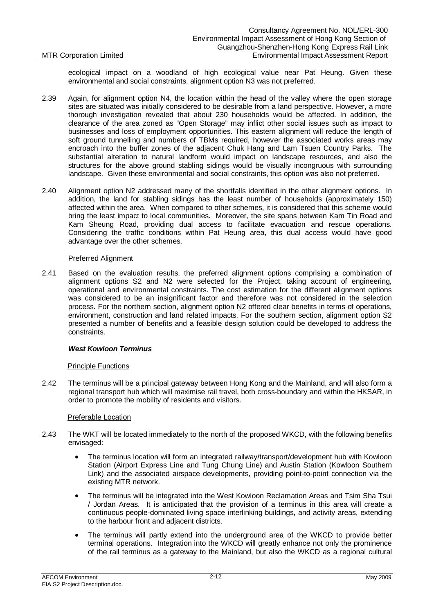ecological impact on a woodland of high ecological value near Pat Heung. Given these environmental and social constraints, alignment option N3 was not preferred.

- 2.39 Again, for alignment option N4, the location within the head of the valley where the open storage sites are situated was initially considered to be desirable from a land perspective. However, a more thorough investigation revealed that about 230 households would be affected. In addition, the clearance of the area zoned as "Open Storage" may inflict other social issues such as impact to businesses and loss of employment opportunities. This eastern alignment will reduce the length of soft ground tunnelling and numbers of TBMs required, however the associated works areas may encroach into the buffer zones of the adjacent Chuk Hang and Lam Tsuen Country Parks. The substantial alteration to natural landform would impact on landscape resources, and also the structures for the above ground stabling sidings would be visually incongruous with surrounding landscape. Given these environmental and social constraints, this option was also not preferred.
- 2.40 Alignment option N2 addressed many of the shortfalls identified in the other alignment options. In addition, the land for stabling sidings has the least number of households (approximately 150) affected within the area. When compared to other schemes, it is considered that this scheme would bring the least impact to local communities. Moreover, the site spans between Kam Tin Road and Kam Sheung Road, providing dual access to facilitate evacuation and rescue operations. Considering the traffic conditions within Pat Heung area, this dual access would have good advantage over the other schemes.

### Preferred Alignment

2.41 Based on the evaluation results, the preferred alignment options comprising a combination of alignment options S2 and N2 were selected for the Project, taking account of engineering, operational and environmental constraints. The cost estimation for the different alignment options was considered to be an insignificant factor and therefore was not considered in the selection process. For the northern section, alignment option N2 offered clear benefits in terms of operations, environment, construction and land related impacts. For the southern section, alignment option S2 presented a number of benefits and a feasible design solution could be developed to address the constraints.

### *West Kowloon Terminus*

### Principle Functions

2.42 The terminus will be a principal gateway between Hong Kong and the Mainland, and will also form a regional transport hub which will maximise rail travel, both cross-boundary and within the HKSAR, in order to promote the mobility of residents and visitors.

### Preferable Location

- 2.43 The WKT will be located immediately to the north of the proposed WKCD, with the following benefits envisaged:
	- The terminus location will form an integrated railway/transport/development hub with Kowloon Station (Airport Express Line and Tung Chung Line) and Austin Station (Kowloon Southern Link) and the associated airspace developments, providing point-to-point connection via the existing MTR network.
	- x The terminus will be integrated into the West Kowloon Reclamation Areas and Tsim Sha Tsui / Jordan Areas. It is anticipated that the provision of a terminus in this area will create a continuous people-dominated living space interlinking buildings, and activity areas, extending to the harbour front and adjacent districts.
	- The terminus will partly extend into the underground area of the WKCD to provide better terminal operations. Integration into the WKCD will greatly enhance not only the prominence of the rail terminus as a gateway to the Mainland, but also the WKCD as a regional cultural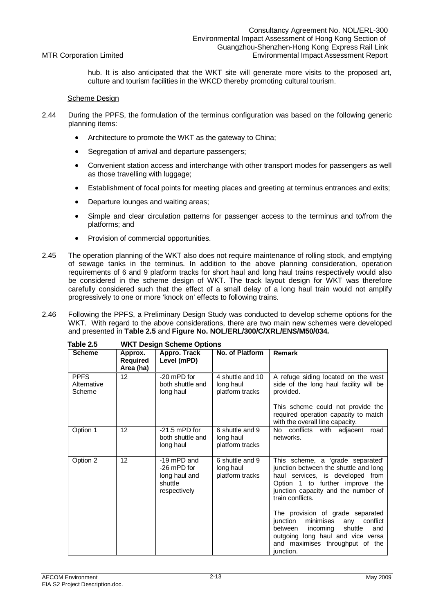hub. It is also anticipated that the WKT site will generate more visits to the proposed art, culture and tourism facilities in the WKCD thereby promoting cultural tourism.

### Scheme Design

- 2.44 During the PPFS, the formulation of the terminus configuration was based on the following generic planning items:
	- Architecture to promote the WKT as the gateway to China:
	- Segregation of arrival and departure passengers;
	- Convenient station access and interchange with other transport modes for passengers as well as those travelling with luggage;
	- **Establishment of focal points for meeting places and greeting at terminus entrances and exits;**
	- Departure lounges and waiting areas;
	- Simple and clear circulation patterns for passenger access to the terminus and to/from the platforms; and
	- Provision of commercial opportunities.
- 2.45 The operation planning of the WKT also does not require maintenance of rolling stock, and emptying of sewage tanks in the terminus. In addition to the above planning consideration, operation requirements of 6 and 9 platform tracks for short haul and long haul trains respectively would also be considered in the scheme design of WKT. The track layout design for WKT was therefore carefully considered such that the effect of a small delay of a long haul train would not amplify progressively to one or more 'knock on' effects to following trains.
- 2.46 Following the PPFS, a Preliminary Design Study was conducted to develop scheme options for the WKT. With regard to the above considerations, there are two main new schemes were developed and presented in **Table 2.5** and **Figure No. NOL/ERL/300/C/XRL/ENS/M50/034***.*

| 1 duit 2.9                           | VVNT DESIGN SCHEME OPHONS               |                                                                        |                                                  |                                                                                                                                                                                                                                                                                             |  |  |
|--------------------------------------|-----------------------------------------|------------------------------------------------------------------------|--------------------------------------------------|---------------------------------------------------------------------------------------------------------------------------------------------------------------------------------------------------------------------------------------------------------------------------------------------|--|--|
| <b>Scheme</b>                        | Approx.<br><b>Required</b><br>Area (ha) | Appro. Track<br>Level (mPD)                                            | No. of Platform                                  | <b>Remark</b>                                                                                                                                                                                                                                                                               |  |  |
| <b>PPFS</b><br>Alternative<br>Scheme | 12 <sup>2</sup>                         | -20 mPD for<br>both shuttle and<br>long haul                           | 4 shuttle and 10<br>long haul<br>platform tracks | A refuge siding located on the west<br>side of the long haul facility will be<br>provided.<br>This scheme could not provide the<br>required operation capacity to match<br>with the overall line capacity.                                                                                  |  |  |
| Option 1                             | 12                                      | $-21.5$ mPD for<br>both shuttle and<br>long haul                       | 6 shuttle and 9<br>long haul<br>platform tracks  | No conflicts<br>with adjacent<br>road<br>networks.                                                                                                                                                                                                                                          |  |  |
| Option 2                             | 12                                      | -19 mPD and<br>-26 mPD for<br>long haul and<br>shuttle<br>respectively | 6 shuttle and 9<br>long haul<br>platform tracks  | This scheme, a 'grade separated'<br>junction between the shuttle and long<br>haul services, is developed from<br>Option 1 to further improve the<br>junction capacity and the number of<br>train conflicts.<br>The provision of grade separated<br>conflict<br>junction<br>minimises<br>any |  |  |
|                                      |                                         |                                                                        |                                                  | between<br>incoming<br>shuttle<br>and<br>outgoing long haul and vice versa<br>and maximises throughput of the<br>junction.                                                                                                                                                                  |  |  |

**Table 2.5 WKT Design Scheme Options**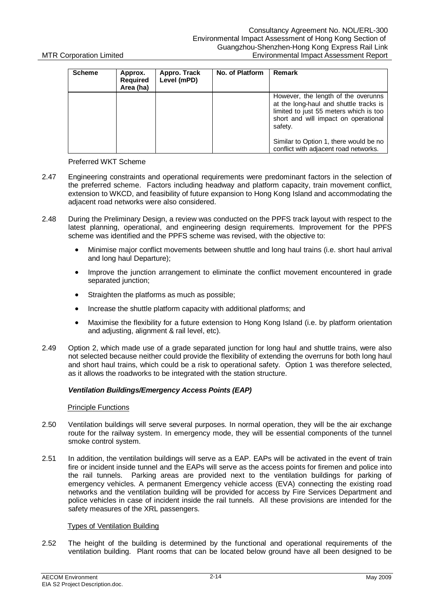| <b>Scheme</b> | Approx.<br><b>Required</b><br>Area (ha) | Appro. Track<br>Level (mPD) | No. of Platform | <b>Remark</b>                                                                                                                                                              |
|---------------|-----------------------------------------|-----------------------------|-----------------|----------------------------------------------------------------------------------------------------------------------------------------------------------------------------|
|               |                                         |                             |                 | However, the length of the overunns<br>at the long-haul and shuttle tracks is<br>limited to just 55 meters which is too<br>short and will impact on operational<br>safety. |
|               |                                         |                             |                 | Similar to Option 1, there would be no<br>conflict with adjacent road networks.                                                                                            |

### Preferred WKT Scheme

- 2.47 Engineering constraints and operational requirements were predominant factors in the selection of the preferred scheme. Factors including headway and platform capacity, train movement conflict, extension to WKCD, and feasibility of future expansion to Hong Kong Island and accommodating the adjacent road networks were also considered.
- 2.48 During the Preliminary Design, a review was conducted on the PPFS track layout with respect to the latest planning, operational, and engineering design requirements. Improvement for the PPFS scheme was identified and the PPFS scheme was revised, with the objective to:
	- Minimise major conflict movements between shuttle and long haul trains (i.e. short haul arrival and long haul Departure);
	- Improve the junction arrangement to eliminate the conflict movement encountered in grade separated junction;
	- $\bullet$  Straighten the platforms as much as possible;
	- Increase the shuttle platform capacity with additional platforms; and
	- Maximise the flexibility for a future extension to Hong Kong Island (i.e. by platform orientation and adjusting, alignment & rail level, etc).
- 2.49 Option 2, which made use of a grade separated junction for long haul and shuttle trains, were also not selected because neither could provide the flexibility of extending the overruns for both long haul and short haul trains, which could be a risk to operational safety. Option 1 was therefore selected, as it allows the roadworks to be integrated with the station structure.

### *Ventilation Buildings/Emergency Access Points (EAP)*

### Principle Functions

- 2.50 Ventilation buildings will serve several purposes. In normal operation, they will be the air exchange route for the railway system. In emergency mode, they will be essential components of the tunnel smoke control system.
- 2.51 In addition, the ventilation buildings will serve as a EAP. EAPs will be activated in the event of train fire or incident inside tunnel and the EAPs will serve as the access points for firemen and police into the rail tunnels. Parking areas are provided next to the ventilation buildings for parking of emergency vehicles. A permanent Emergency vehicle access (EVA) connecting the existing road networks and the ventilation building will be provided for access by Fire Services Department and police vehicles in case of incident inside the rail tunnels. All these provisions are intended for the safety measures of the XRL passengers.

### Types of Ventilation Building

2.52 The height of the building is determined by the functional and operational requirements of the ventilation building. Plant rooms that can be located below ground have all been designed to be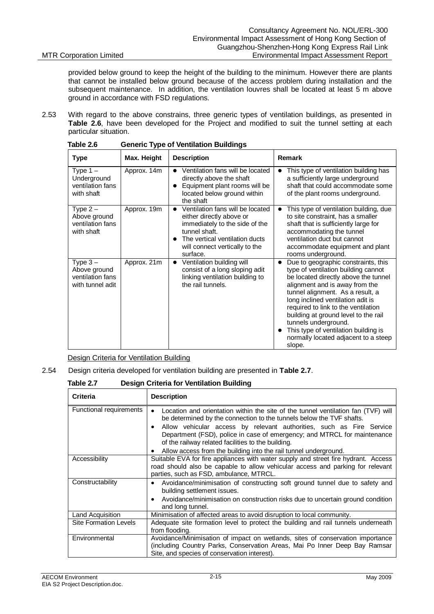provided below ground to keep the height of the building to the minimum. However there are plants that cannot be installed below ground because of the access problem during installation and the subsequent maintenance. In addition, the ventilation louvres shall be located at least 5 m above ground in accordance with FSD regulations.

2.53 With regard to the above constrains, three generic types of ventilation buildings, as presented in **Table 2.6**, have been developed for the Project and modified to suit the tunnel setting at each particular situation.

| <b>Type</b>                                                        | Max. Height | <b>Description</b>                                                                                                                                                                                                        | Remark                                                                                                                                                                                                                                                                                                                                                                                                                         |
|--------------------------------------------------------------------|-------------|---------------------------------------------------------------------------------------------------------------------------------------------------------------------------------------------------------------------------|--------------------------------------------------------------------------------------------------------------------------------------------------------------------------------------------------------------------------------------------------------------------------------------------------------------------------------------------------------------------------------------------------------------------------------|
| Type $1 -$<br>Underground<br>ventilation fans<br>with shaft        | Approx. 14m | Ventilation fans will be located<br>directly above the shaft<br>Equipment plant rooms will be<br>$\bullet$<br>located below ground within<br>the shaft                                                                    | This type of ventilation building has<br>a sufficiently large underground<br>shaft that could accommodate some<br>of the plant rooms underground.                                                                                                                                                                                                                                                                              |
| Type $2 -$<br>Above ground<br>ventilation fans<br>with shaft       | Approx. 19m | Ventilation fans will be located<br>$\bullet$<br>either directly above or<br>immediately to the side of the<br>tunnel shaft.<br>The vertical ventilation ducts<br>$\bullet$<br>will connect vertically to the<br>surface. | This type of ventilation building, due<br>to site constraint, has a smaller<br>shaft that is sufficiently large for<br>accommodating the tunnel<br>ventilation duct but cannot<br>accommodate equipment and plant<br>rooms underground.                                                                                                                                                                                        |
| Type $3 -$<br>Above ground<br>ventilation fans<br>with tunnel adit | Approx. 21m | Ventilation building will<br>$\bullet$<br>consist of a long sloping adit<br>linking ventilation building to<br>the rail tunnels.                                                                                          | Due to geographic constraints, this<br>type of ventilation building cannot<br>be located directly above the tunnel<br>alignment and is away from the<br>tunnel alignment. As a result, a<br>long inclined ventilation adit is<br>required to link to the ventilation<br>building at ground level to the rail<br>tunnels underground.<br>This type of ventilation building is<br>normally located adjacent to a steep<br>slope. |

**Table 2.6 Generic Type of Ventilation Buildings**

Design Criteria for Ventilation Building

### 2.54 Design criteria developed for ventilation building are presented in **Table 2.7**.

**Table 2.7 Design Criteria for Ventilation Building**

| <b>Criteria</b>              | <b>Description</b>                                                                                                                                                                                                                                                                                                                                                       |
|------------------------------|--------------------------------------------------------------------------------------------------------------------------------------------------------------------------------------------------------------------------------------------------------------------------------------------------------------------------------------------------------------------------|
| Functional requirements      | Location and orientation within the site of the tunnel ventilation fan (TVF) will<br>be determined by the connection to the tunnels below the TVF shafts.<br>Allow vehicular access by relevant authorities, such as Fire Service<br>٠<br>Department (FSD), police in case of emergency; and MTRCL for maintenance<br>of the railway related facilities to the building. |
| Accessibility                | Allow access from the building into the rail tunnel underground.<br>٠<br>Suitable EVA for fire appliances with water supply and street fire hydrant. Access<br>road should also be capable to allow vehicular access and parking for relevant<br>parties, such as FSD, ambulance, MTRCL.                                                                                 |
| Constructability             | Avoidance/minimisation of constructing soft ground tunnel due to safety and<br>٠<br>building settlement issues.<br>Avoidance/minimisation on construction risks due to uncertain ground condition<br>$\bullet$<br>and long tunnel.                                                                                                                                       |
| Land Acquisition             | Minimisation of affected areas to avoid disruption to local community.                                                                                                                                                                                                                                                                                                   |
| <b>Site Formation Levels</b> | Adequate site formation level to protect the building and rail tunnels underneath<br>from flooding.                                                                                                                                                                                                                                                                      |
| Environmental                | Avoidance/Minimisation of impact on wetlands, sites of conservation importance<br>(including Country Parks, Conservation Areas, Mai Po Inner Deep Bay Ramsar<br>Site, and species of conservation interest).                                                                                                                                                             |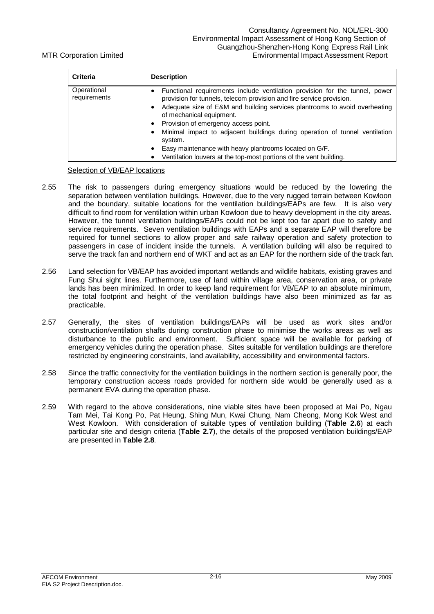| <b>Criteria</b>             | <b>Description</b>                                                                                                                                                                                                                                                                                                                                                                                                                                                                                                              |
|-----------------------------|---------------------------------------------------------------------------------------------------------------------------------------------------------------------------------------------------------------------------------------------------------------------------------------------------------------------------------------------------------------------------------------------------------------------------------------------------------------------------------------------------------------------------------|
| Operational<br>requirements | Functional requirements include ventilation provision for the tunnel, power<br>provision for tunnels, telecom provision and fire service provision.<br>Adequate size of E&M and building services plantrooms to avoid overheating<br>of mechanical equipment.<br>Provision of emergency access point.<br>Minimal impact to adjacent buildings during operation of tunnel ventilation<br>system.<br>Easy maintenance with heavy plantrooms located on G/F.<br>Ventilation louvers at the top-most portions of the vent building. |

### Selection of VB/EAP locations

- 2.55 The risk to passengers during emergency situations would be reduced by the lowering the separation between ventilation buildings. However, due to the very rugged terrain between Kowloon and the boundary, suitable locations for the ventilation buildings/EAPs are few. It is also very difficult to find room for ventilation within urban Kowloon due to heavy development in the city areas. However, the tunnel ventilation buildings/EAPs could not be kept too far apart due to safety and service requirements. Seven ventilation buildings with EAPs and a separate EAP will therefore be required for tunnel sections to allow proper and safe railway operation and safety protection to passengers in case of incident inside the tunnels. A ventilation building will also be required to serve the track fan and northern end of WKT and act as an EAP for the northern side of the track fan.
- 2.56 Land selection for VB/EAP has avoided important wetlands and wildlife habitats, existing graves and Fung Shui sight lines. Furthermore, use of land within village area, conservation area, or private lands has been minimized. In order to keep land requirement for VB/EAP to an absolute minimum, the total footprint and height of the ventilation buildings have also been minimized as far as practicable.
- 2.57 Generally, the sites of ventilation buildings/EAPs will be used as work sites and/or construction/ventilation shafts during construction phase to minimise the works areas as well as disturbance to the public and environment. Sufficient space will be available for parking of emergency vehicles during the operation phase. Sites suitable for ventilation buildings are therefore restricted by engineering constraints, land availability, accessibility and environmental factors.
- 2.58 Since the traffic connectivity for the ventilation buildings in the northern section is generally poor, the temporary construction access roads provided for northern side would be generally used as a permanent EVA during the operation phase.
- 2.59 With regard to the above considerations, nine viable sites have been proposed at Mai Po, Ngau Tam Mei, Tai Kong Po, Pat Heung, Shing Mun, Kwai Chung, Nam Cheong, Mong Kok West and West Kowloon. With consideration of suitable types of ventilation building (**Table 2.6**) at each particular site and design criteria (**Table 2.7**), the details of the proposed ventilation buildings/EAP are presented in **Table 2.8**.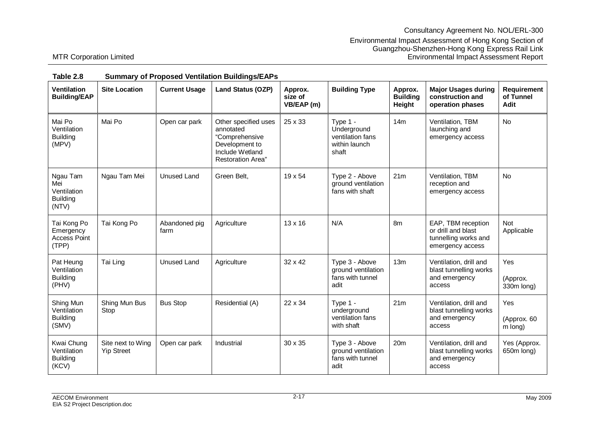| <b>Ventilation</b><br><b>Building/EAP</b>                  | <b>Site Location</b>                   | <b>Current Usage</b>  | <b>Land Status (OZP)</b>                                                                                             | Approx.<br>size of<br>VB/EAP (m) | <b>Building Type</b>                                                    | Approx.<br><b>Building</b><br>Height | <b>Major Usages during</b><br>construction and<br>operation phases                   | <b>Requirement</b><br>of Tunnel<br>Adit |
|------------------------------------------------------------|----------------------------------------|-----------------------|----------------------------------------------------------------------------------------------------------------------|----------------------------------|-------------------------------------------------------------------------|--------------------------------------|--------------------------------------------------------------------------------------|-----------------------------------------|
| Mai Po<br>Ventilation<br><b>Building</b><br>(MPV)          | Mai Po                                 | Open car park         | Other specified uses<br>annotated<br>"Comprehensive<br>Development to<br>Include Wetland<br><b>Restoration Area"</b> | 25 x 33                          | Type $1 -$<br>Underground<br>ventilation fans<br>within launch<br>shaft | 14m                                  | Ventilation, TBM<br>launching and<br>emergency access                                | No                                      |
| Ngau Tam<br>Mei<br>Ventilation<br><b>Building</b><br>(NTV) | Ngau Tam Mei                           | <b>Unused Land</b>    | Green Belt,                                                                                                          | 19 x 54                          | Type 2 - Above<br>ground ventilation<br>fans with shaft                 | 21m                                  | Ventilation, TBM<br>reception and<br>emergency access                                | <b>No</b>                               |
| Tai Kong Po<br>Emergency<br><b>Access Point</b><br>(TPP)   | Tai Kong Po                            | Abandoned pig<br>farm | Agriculture                                                                                                          | 13 x 16                          | N/A                                                                     | 8m                                   | EAP, TBM reception<br>or drill and blast<br>tunnelling works and<br>emergency access | <b>Not</b><br>Applicable                |
| Pat Heung<br>Ventilation<br><b>Building</b><br>(PHV)       | Tai Ling                               | <b>Unused Land</b>    | Agriculture                                                                                                          | 32 x 42                          | Type 3 - Above<br>ground ventilation<br>fans with tunnel<br>adit        | 13m                                  | Ventilation, drill and<br>blast tunnelling works<br>and emergency<br>access          | Yes<br>(Approx.<br>330m long)           |
| Shing Mun<br>Ventilation<br><b>Building</b><br>(SMV)       | Shing Mun Bus<br>Stop                  | <b>Bus Stop</b>       | Residential (A)                                                                                                      | 22 x 34                          | Type 1 -<br>underground<br>ventilation fans<br>with shaft               | 21m                                  | Ventilation, drill and<br>blast tunnelling works<br>and emergency<br>access          | Yes<br>(Approx. 60<br>m long)           |
| Kwai Chung<br>Ventilation<br><b>Building</b><br>(KCV)      | Site next to Wing<br><b>Yip Street</b> | Open car park         | Industrial                                                                                                           | $30 \times 35$                   | Type 3 - Above<br>ground ventilation<br>fans with tunnel<br>adit        | 20m                                  | Ventilation, drill and<br>blast tunnelling works<br>and emergency<br>access          | Yes (Approx.<br>650m long)              |

### **Table 2.8 Summary of Proposed Ventilation Buildings/EAPs**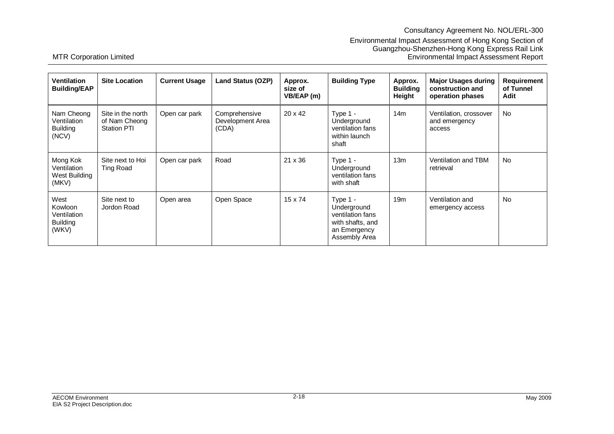# Consultancy Agreement No. NOL/ERL-300

### Environmental Impact Assessment of Hong Kong Section of Guangzhou-Shenzhen-Hong Kong Express Rail Link MTR Corporation Limited Environmental Impact Assessment Report

| Ventilation<br><b>Building/EAP</b>                         | <b>Site Location</b>                                     | <b>Current Usage</b> | Land Status (OZP)                          | Approx.<br>size of<br>VB/EAP (m) | <b>Building Type</b>                                                                               | Approx.<br><b>Building</b><br>Height | <b>Major Usages during</b><br>construction and<br>operation phases | <b>Requirement</b><br>of Tunnel<br>Adit |
|------------------------------------------------------------|----------------------------------------------------------|----------------------|--------------------------------------------|----------------------------------|----------------------------------------------------------------------------------------------------|--------------------------------------|--------------------------------------------------------------------|-----------------------------------------|
| Nam Cheong<br>Ventilation<br><b>Building</b><br>(NCV)      | Site in the north<br>of Nam Cheong<br><b>Station PTI</b> | Open car park        | Comprehensive<br>Development Area<br>(CDA) | $20 \times 42$                   | Type $1 -$<br>Underground<br>ventilation fans<br>within launch<br>shaft                            | 14m                                  | Ventilation, crossover<br>and emergency<br>access                  | <b>No</b>                               |
| Mong Kok<br>Ventilation<br>West Building<br>(MKV)          | Site next to Hoi<br>Ting Road                            | Open car park        | Road                                       | $21 \times 36$                   | Type 1 -<br>Underground<br>ventilation fans<br>with shaft                                          | 13m                                  | Ventilation and TBM<br>retrieval                                   | <b>No</b>                               |
| West<br>Kowloon<br>Ventilation<br><b>Building</b><br>(WKV) | Site next to<br>Jordon Road                              | Open area            | Open Space                                 | $15 \times 74$                   | Type $1 -$<br>Underground<br>ventilation fans<br>with shafts, and<br>an Emergency<br>Assembly Area | 19 <sub>m</sub>                      | Ventilation and<br>emergency access                                | No.                                     |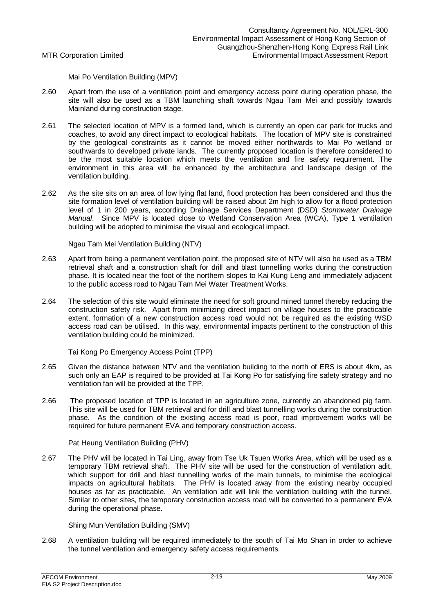Mai Po Ventilation Building (MPV)

- 2.60 Apart from the use of a ventilation point and emergency access point during operation phase, the site will also be used as a TBM launching shaft towards Ngau Tam Mei and possibly towards Mainland during construction stage.
- 2.61 The selected location of MPV is a formed land, which is currently an open car park for trucks and coaches, to avoid any direct impact to ecological habitats. The location of MPV site is constrained by the geological constraints as it cannot be moved either northwards to Mai Po wetland or southwards to developed private lands. The currently proposed location is therefore considered to be the most suitable location which meets the ventilation and fire safety requirement. The environment in this area will be enhanced by the architecture and landscape design of the ventilation building.
- 2.62 As the site sits on an area of low lying flat land, flood protection has been considered and thus the site formation level of ventilation building will be raised about 2m high to allow for a flood protection level of 1 in 200 years, according Drainage Services Department (DSD) *Stormwater Drainage Manual*. Since MPV is located close to Wetland Conservation Area (WCA), Type 1 ventilation building will be adopted to minimise the visual and ecological impact.

Ngau Tam Mei Ventilation Building (NTV)

- 2.63 Apart from being a permanent ventilation point, the proposed site of NTV will also be used as a TBM retrieval shaft and a construction shaft for drill and blast tunnelling works during the construction phase. It is located near the foot of the northern slopes to Kai Kung Leng and immediately adjacent to the public access road to Ngau Tam Mei Water Treatment Works.
- 2.64 The selection of this site would eliminate the need for soft ground mined tunnel thereby reducing the construction safety risk. Apart from minimizing direct impact on village houses to the practicable extent, formation of a new construction access road would not be required as the existing WSD access road can be utilised. In this way, environmental impacts pertinent to the construction of this ventilation building could be minimized.

Tai Kong Po Emergency Access Point (TPP)

- 2.65 Given the distance between NTV and the ventilation building to the north of ERS is about 4km, as such only an EAP is required to be provided at Tai Kong Po for satisfying fire safety strategy and no ventilation fan will be provided at the TPP.
- 2.66 The proposed location of TPP is located in an agriculture zone, currently an abandoned pig farm. This site will be used for TBM retrieval and for drill and blast tunnelling works during the construction phase. As the condition of the existing access road is poor, road improvement works will be required for future permanent EVA and temporary construction access.

Pat Heung Ventilation Building (PHV)

2.67 The PHV will be located in Tai Ling, away from Tse Uk Tsuen Works Area, which will be used as a temporary TBM retrieval shaft. The PHV site will be used for the construction of ventilation adit, which support for drill and blast tunnelling works of the main tunnels, to minimise the ecological impacts on agricultural habitats. The PHV is located away from the existing nearby occupied houses as far as practicable. An ventilation adit will link the ventilation building with the tunnel. Similar to other sites, the temporary construction access road will be converted to a permanent EVA during the operational phase.

Shing Mun Ventilation Building (SMV)

2.68 A ventilation building will be required immediately to the south of Tai Mo Shan in order to achieve the tunnel ventilation and emergency safety access requirements.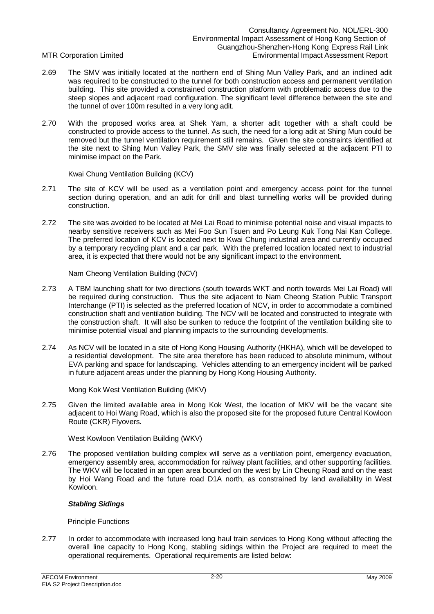- 2.69 The SMV was initially located at the northern end of Shing Mun Valley Park, and an inclined adit was required to be constructed to the tunnel for both construction access and permanent ventilation building. This site provided a constrained construction platform with problematic access due to the steep slopes and adjacent road configuration. The significant level difference between the site and the tunnel of over 100m resulted in a very long adit.
- 2.70 With the proposed works area at Shek Yam, a shorter adit together with a shaft could be constructed to provide access to the tunnel. As such, the need for a long adit at Shing Mun could be removed but the tunnel ventilation requirement still remains. Given the site constraints identified at the site next to Shing Mun Valley Park, the SMV site was finally selected at the adjacent PTI to minimise impact on the Park.

Kwai Chung Ventilation Building (KCV)

- 2.71 The site of KCV will be used as a ventilation point and emergency access point for the tunnel section during operation, and an adit for drill and blast tunnelling works will be provided during construction.
- 2.72 The site was avoided to be located at Mei Lai Road to minimise potential noise and visual impacts to nearby sensitive receivers such as Mei Foo Sun Tsuen and Po Leung Kuk Tong Nai Kan College. The preferred location of KCV is located next to Kwai Chung industrial area and currently occupied by a temporary recycling plant and a car park. With the preferred location located next to industrial area, it is expected that there would not be any significant impact to the environment.

Nam Cheong Ventilation Building (NCV)

- 2.73 A TBM launching shaft for two directions (south towards WKT and north towards Mei Lai Road) will be required during construction. Thus the site adjacent to Nam Cheong Station Public Transport Interchange (PTI) is selected as the preferred location of NCV, in order to accommodate a combined construction shaft and ventilation building. The NCV will be located and constructed to integrate with the construction shaft. It will also be sunken to reduce the footprint of the ventilation building site to minimise potential visual and planning impacts to the surrounding developments.
- 2.74 As NCV will be located in a site of Hong Kong Housing Authority (HKHA), which will be developed to a residential development. The site area therefore has been reduced to absolute minimum, without EVA parking and space for landscaping. Vehicles attending to an emergency incident will be parked in future adjacent areas under the planning by Hong Kong Housing Authority.

Mong Kok West Ventilation Building (MKV)

2.75 Given the limited available area in Mong Kok West, the location of MKV will be the vacant site adjacent to Hoi Wang Road, which is also the proposed site for the proposed future Central Kowloon Route (CKR) Flyovers.

West Kowloon Ventilation Building (WKV)

2.76 The proposed ventilation building complex will serve as a ventilation point, emergency evacuation, emergency assembly area, accommodation for railway plant facilities, and other supporting facilities. The WKV will be located in an open area bounded on the west by Lin Cheung Road and on the east by Hoi Wang Road and the future road D1A north, as constrained by land availability in West Kowloon.

### *Stabling Sidings*

### Principle Functions

2.77 In order to accommodate with increased long haul train services to Hong Kong without affecting the overall line capacity to Hong Kong, stabling sidings within the Project are required to meet the operational requirements. Operational requirements are listed below: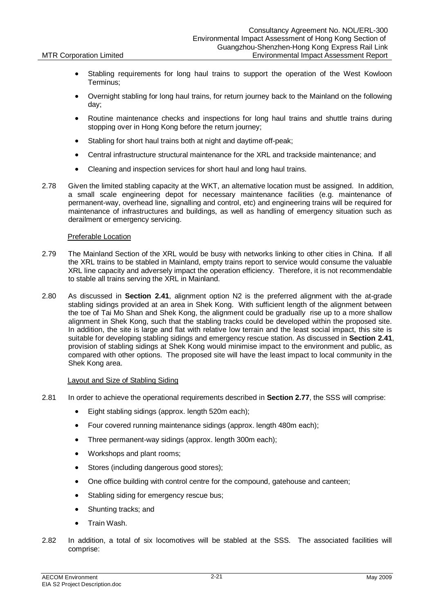- Stabling requirements for long haul trains to support the operation of the West Kowloon Terminus;
- Overnight stabling for long haul trains, for return journey back to the Mainland on the following day;
- Routine maintenance checks and inspections for long haul trains and shuttle trains during stopping over in Hong Kong before the return journey;
- Stabling for short haul trains both at night and daytime off-peak;
- Central infrastructure structural maintenance for the XRL and trackside maintenance; and
- Cleaning and inspection services for short haul and long haul trains.
- 2.78 Given the limited stabling capacity at the WKT, an alternative location must be assigned. In addition, a small scale engineering depot for necessary maintenance facilities (e.g. maintenance of permanent-way, overhead line, signalling and control, etc) and engineering trains will be required for maintenance of infrastructures and buildings, as well as handling of emergency situation such as derailment or emergency servicing.

### Preferable Location

- 2.79 The Mainland Section of the XRL would be busy with networks linking to other cities in China. If all the XRL trains to be stabled in Mainland, empty trains report to service would consume the valuable XRL line capacity and adversely impact the operation efficiency. Therefore, it is not recommendable to stable all trains serving the XRL in Mainland.
- 2.80 As discussed in **Section 2.41**, alignment option N2 is the preferred alignment with the at-grade stabling sidings provided at an area in Shek Kong. With sufficient length of the alignment between the toe of Tai Mo Shan and Shek Kong, the alignment could be gradually rise up to a more shallow alignment in Shek Kong, such that the stabling tracks could be developed within the proposed site. In addition, the site is large and flat with relative low terrain and the least social impact, this site is suitable for developing stabling sidings and emergency rescue station. As discussed in **Section 2.41**, provision of stabling sidings at Shek Kong would minimise impact to the environment and public, as compared with other options. The proposed site will have the least impact to local community in the Shek Kong area.

### Layout and Size of Stabling Siding

- 2.81 In order to achieve the operational requirements described in **Section 2.77**, the SSS will comprise:
	- Eight stabling sidings (approx. length 520m each);
	- Four covered running maintenance sidings (approx. length 480m each);
	- Three permanent-way sidings (approx. length 300m each);
	- Workshops and plant rooms;
	- Stores (including dangerous good stores);
	- One office building with control centre for the compound, gatehouse and canteen;
	- Stabling siding for emergency rescue bus;
	- Shunting tracks: and
	- Train Wash.
- 2.82 In addition, a total of six locomotives will be stabled at the SSS. The associated facilities will comprise: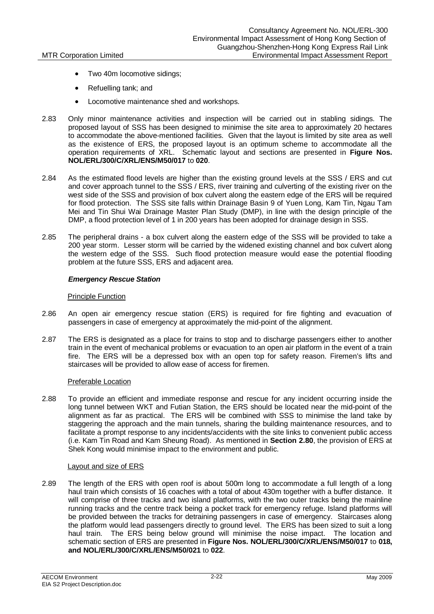- Two 40m locomotive sidings;
- Refuelling tank; and
- Locomotive maintenance shed and workshops.
- 2.83 Only minor maintenance activities and inspection will be carried out in stabling sidings. The proposed layout of SSS has been designed to minimise the site area to approximately 20 hectares to accommodate the above-mentioned facilities. Given that the layout is limited by site area as well as the existence of ERS, the proposed layout is an optimum scheme to accommodate all the operation requirements of XRL. Schematic layout and sections are presented in **Figure Nos. NOL/ERL/300/C/XRL/ENS/M50/017** to **020**.
- 2.84 As the estimated flood levels are higher than the existing ground levels at the SSS / ERS and cut and cover approach tunnel to the SSS / ERS, river training and culverting of the existing river on the west side of the SSS and provision of box culvert along the eastern edge of the ERS will be required for flood protection. The SSS site falls within Drainage Basin 9 of Yuen Long, Kam Tin, Ngau Tam Mei and Tin Shui Wai Drainage Master Plan Study (DMP), in line with the design principle of the DMP, a flood protection level of 1 in 200 years has been adopted for drainage design in SSS.
- 2.85 The peripheral drains a box culvert along the eastern edge of the SSS will be provided to take a 200 year storm. Lesser storm will be carried by the widened existing channel and box culvert along the western edge of the SSS. Such flood protection measure would ease the potential flooding problem at the future SSS, ERS and adjacent area.

### *Emergency Rescue Station*

### Principle Function

- 2.86 An open air emergency rescue station (ERS) is required for fire fighting and evacuation of passengers in case of emergency at approximately the mid-point of the alignment.
- 2.87 The ERS is designated as a place for trains to stop and to discharge passengers either to another train in the event of mechanical problems or evacuation to an open air platform in the event of a train fire. The ERS will be a depressed box with an open top for safety reason. Firemen's lifts and staircases will be provided to allow ease of access for firemen.

### Preferable Location

2.88 To provide an efficient and immediate response and rescue for any incident occurring inside the long tunnel between WKT and Futian Station, the ERS should be located near the mid-point of the alignment as far as practical. The ERS will be combined with SSS to minimise the land take by staggering the approach and the main tunnels, sharing the building maintenance resources, and to facilitate a prompt response to any incidents/accidents with the site links to convenient public access (i.e. Kam Tin Road and Kam Sheung Road). As mentioned in **Section 2.80**, the provision of ERS at Shek Kong would minimise impact to the environment and public.

### Layout and size of ERS

2.89 The length of the ERS with open roof is about 500m long to accommodate a full length of a long haul train which consists of 16 coaches with a total of about 430m together with a buffer distance. It will comprise of three tracks and two island platforms, with the two outer tracks being the mainline running tracks and the centre track being a pocket track for emergency refuge. Island platforms will be provided between the tracks for detraining passengers in case of emergency. Staircases along the platform would lead passengers directly to ground level. The ERS has been sized to suit a long haul train. The ERS being below ground will minimise the noise impact. The location and schematic section of ERS are presented in **Figure Nos. NOL/ERL/300/C/XRL/ENS/M50/017** to **018, and NOL/ERL/300/C/XRL/ENS/M50/021** to **022**.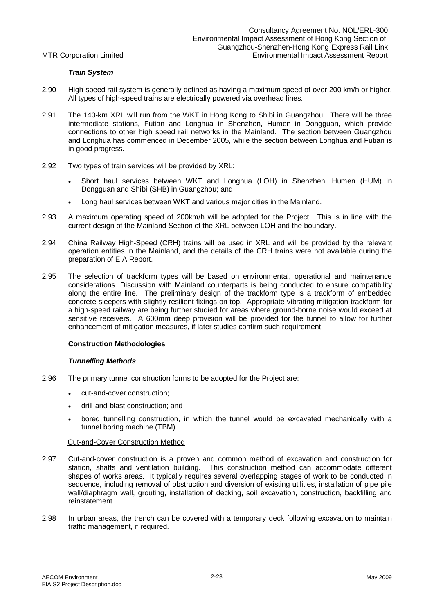### *Train System*

- 2.90 High-speed rail system is generally defined as having a maximum speed of over 200 km/h or higher. All types of high-speed trains are electrically powered via overhead lines.
- 2.91 The 140-km XRL will run from the WKT in Hong Kong to Shibi in Guangzhou. There will be three intermediate stations, Futian and Longhua in Shenzhen, Humen in Dongguan, which provide connections to other high speed rail networks in the Mainland. The section between Guangzhou and Longhua has commenced in December 2005, while the section between Longhua and Futian is in good progress.
- 2.92 Two types of train services will be provided by XRL:
	- x Short haul services between WKT and Longhua (LOH) in Shenzhen, Humen (HUM) in Dongguan and Shibi (SHB) in Guangzhou; and
	- Long haul services between WKT and various major cities in the Mainland.
- 2.93 A maximum operating speed of 200km/h will be adopted for the Project. This is in line with the current design of the Mainland Section of the XRL between LOH and the boundary.
- 2.94 China Railway High-Speed (CRH) trains will be used in XRL and will be provided by the relevant operation entities in the Mainland, and the details of the CRH trains were not available during the preparation of EIA Report.
- 2.95 The selection of trackform types will be based on environmental, operational and maintenance considerations. Discussion with Mainland counterparts is being conducted to ensure compatibility along the entire line. The preliminary design of the trackform type is a trackform of embedded concrete sleepers with slightly resilient fixings on top. Appropriate vibrating mitigation trackform for a high-speed railway are being further studied for areas where ground-borne noise would exceed at sensitive receivers. A 600mm deep provision will be provided for the tunnel to allow for further enhancement of mitigation measures, if later studies confirm such requirement.

### **Construction Methodologies**

### *Tunnelling Methods*

- 2.96 The primary tunnel construction forms to be adopted for the Project are:
	- cut-and-cover construction:
	- drill-and-blast construction; and
	- bored tunnelling construction, in which the tunnel would be excavated mechanically with a tunnel boring machine (TBM).

### Cut-and-Cover Construction Method

- 2.97 Cut-and-cover construction is a proven and common method of excavation and construction for station, shafts and ventilation building. This construction method can accommodate different shapes of works areas. It typically requires several overlapping stages of work to be conducted in sequence, including removal of obstruction and diversion of existing utilities, installation of pipe pile wall/diaphragm wall, grouting, installation of decking, soil excavation, construction, backfilling and reinstatement.
- 2.98 In urban areas, the trench can be covered with a temporary deck following excavation to maintain traffic management, if required.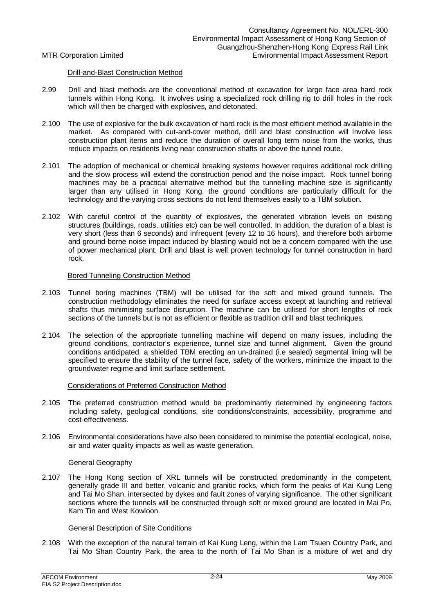### Drill-and-Blast Construction Method

- 2.99 Drill and blast methods are the conventional method of excavation for large face area hard rock tunnels within Hong Kong. It involves using a specialized rock drilling rig to drill holes in the rock which will then be charged with explosives, and detonated.
- 2.100 The use of explosive for the bulk excavation of hard rock is the most efficient method available in the market. As compared with cut-and-cover method, drill and blast construction will involve less construction plant items and reduce the duration of overall long term noise from the works, thus reduce impacts on residents living near construction shafts or above the tunnel route.
- 2.101 The adoption of mechanical or chemical breaking systems however requires additional rock drilling and the slow process will extend the construction period and the noise impact. Rock tunnel boring machines may be a practical alternative method but the tunnelling machine size is significantly larger than any utilised in Hong Kong, the ground conditions are particularly difficult for the technology and the varying cross sections do not lend themselves easily to a TBM solution.
- 2.102 With careful control of the quantity of explosives, the generated vibration levels on existing structures (buildings, roads, utilities etc) can be well controlled. In addition, the duration of a blast is very short (less than 6 seconds) and infrequent (every 12 to 16 hours), and therefore both airborne and ground-borne noise impact induced by blasting would not be a concern compared with the use of power mechanical plant. Drill and blast is well proven technology for tunnel construction in hard rock.

### Bored Tunneling Construction Method

- 2.103 Tunnel boring machines (TBM) will be utilised for the soft and mixed ground tunnels. The construction methodology eliminates the need for surface access except at launching and retrieval shafts thus minimising surface disruption. The machine can be utilised for short lengths of rock sections of the tunnels but is not as efficient or flexible as tradition drill and blast techniques.
- 2.104 The selection of the appropriate tunnelling machine will depend on many issues, including the ground conditions, contractor's experience, tunnel size and tunnel alignment. Given the ground conditions anticipated, a shielded TBM erecting an un-drained (i.e sealed) segmental lining will be specified to ensure the stability of the tunnel face, safety of the workers, minimize the impact to the groundwater regime and limit surface settlement.

### Considerations of Preferred Construction Method

- 2.105 The preferred construction method would be predominantly determined by engineering factors including safety, geological conditions, site conditions/constraints, accessibility, programme and cost-effectiveness.
- 2.106 Environmental considerations have also been considered to minimise the potential ecological, noise, air and water quality impacts as well as waste generation.

### General Geography

2.107 The Hong Kong section of XRL tunnels will be constructed predominantly in the competent, generally grade III and better, volcanic and granitic rocks, which form the peaks of Kai Kung Leng and Tai Mo Shan, intersected by dykes and fault zones of varying significance. The other significant sections where the tunnels will be constructed through soft or mixed ground are located in Mai Po, Kam Tin and West Kowloon.

General Description of Site Conditions

2.108 With the exception of the natural terrain of Kai Kung Leng, within the Lam Tsuen Country Park, and Tai Mo Shan Country Park, the area to the north of Tai Mo Shan is a mixture of wet and dry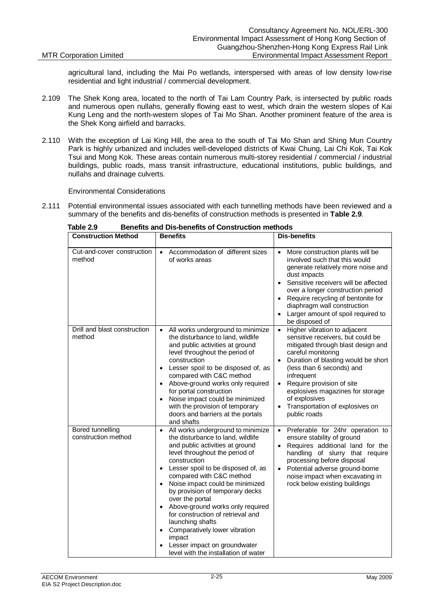agricultural land, including the Mai Po wetlands, interspersed with areas of low density low-rise residential and light industrial / commercial development.

- 2.109 The Shek Kong area, located to the north of Tai Lam Country Park, is intersected by public roads and numerous open nullahs, generally flowing east to west, which drain the western slopes of Kai Kung Leng and the north-western slopes of Tai Mo Shan. Another prominent feature of the area is the Shek Kong airfield and barracks.
- 2.110 With the exception of Lai King Hill, the area to the south of Tai Mo Shan and Shing Mun Country Park is highly urbanized and includes well-developed districts of Kwai Chung, Lai Chi Kok, Tai Kok Tsui and Mong Kok. These areas contain numerous multi-storey residential / commercial / industrial buildings, public roads, mass transit infrastructure, educational institutions, public buildings, and nullahs and drainage culverts.

Environmental Considerations

2.111 Potential environmental issues associated with each tunnelling methods have been reviewed and a summary of the benefits and dis-benefits of construction methods is presented in **Table 2.9**.

| <b>Construction Method</b>                     | <b>Benefits</b>                                                                                                                                                                                                                                                                                                                                                                                                                                                                                                                                                                            | <b>Dis-benefits</b>                                                                                                                                                                                                                                                                                                                                                                                      |
|------------------------------------------------|--------------------------------------------------------------------------------------------------------------------------------------------------------------------------------------------------------------------------------------------------------------------------------------------------------------------------------------------------------------------------------------------------------------------------------------------------------------------------------------------------------------------------------------------------------------------------------------------|----------------------------------------------------------------------------------------------------------------------------------------------------------------------------------------------------------------------------------------------------------------------------------------------------------------------------------------------------------------------------------------------------------|
| Cut-and-cover construction<br>method           | Accommodation of different sizes<br>$\bullet$<br>of works areas                                                                                                                                                                                                                                                                                                                                                                                                                                                                                                                            | More construction plants will be<br>$\bullet$<br>involved such that this would<br>generate relatively more noise and<br>dust impacts<br>Sensitive receivers will be affected<br>$\bullet$<br>over a longer construction period<br>Require recycling of bentonite for<br>$\bullet$<br>diaphragm wall construction<br>Larger amount of spoil required to<br>$\bullet$<br>be disposed of                    |
| Drill and blast construction<br>method         | All works underground to minimize<br>$\bullet$<br>the disturbance to land, wildlife<br>and public activities at ground<br>level throughout the period of<br>construction<br>Lesser spoil to be disposed of, as<br>$\bullet$<br>compared with C&C method<br>Above-ground works only required<br>$\bullet$<br>for portal construction<br>Noise impact could be minimized<br>with the provision of temporary<br>doors and barriers at the portals<br>and shafts                                                                                                                               | Higher vibration to adjacent<br>$\bullet$<br>sensitive receivers, but could be<br>mitigated through blast design and<br>careful monitoring<br>Duration of blasting would be short<br>$\bullet$<br>(less than 6 seconds) and<br>infrequent<br>Require provision of site<br>$\bullet$<br>explosives magazines for storage<br>of explosives<br>Transportation of explosives on<br>$\bullet$<br>public roads |
| <b>Bored tunnelling</b><br>construction method | All works underground to minimize<br>$\bullet$<br>the disturbance to land, wildlife<br>and public activities at ground<br>level throughout the period of<br>construction<br>Lesser spoil to be disposed of, as<br>$\bullet$<br>compared with C&C method<br>Noise impact could be minimized<br>$\bullet$<br>by provision of temporary decks<br>over the portal<br>Above-ground works only required<br>$\bullet$<br>for construction of retrieval and<br>launching shafts<br>Comparatively lower vibration<br>impact<br>Lesser impact on groundwater<br>level with the installation of water | Preferable for 24hr operation to<br>$\bullet$<br>ensure stability of ground<br>Requires additional land for the<br>$\bullet$<br>handling of slurry that require<br>processing before disposal<br>Potential adverse ground-borne<br>$\bullet$<br>noise impact when excavating in<br>rock below existing buildings                                                                                         |

**Table 2.9 Benefits and Dis-benefits of Construction methods**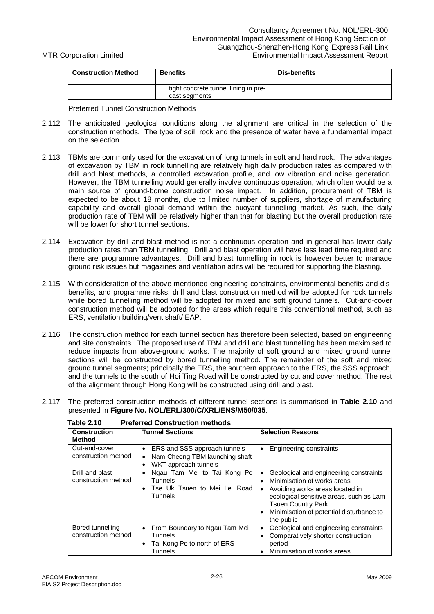| <b>Construction Method</b> | <b>Benefits</b>                                       | Dis-benefits |
|----------------------------|-------------------------------------------------------|--------------|
|                            | tight concrete tunnel lining in pre-<br>cast segments |              |

Preferred Tunnel Construction Methods

- 2.112 The anticipated geological conditions along the alignment are critical in the selection of the construction methods. The type of soil, rock and the presence of water have a fundamental impact on the selection.
- 2.113 TBMs are commonly used for the excavation of long tunnels in soft and hard rock. The advantages of excavation by TBM in rock tunnelling are relatively high daily production rates as compared with drill and blast methods, a controlled excavation profile, and low vibration and noise generation. However, the TBM tunnelling would generally involve continuous operation, which often would be a main source of ground-borne construction noise impact. In addition, procurement of TBM is expected to be about 18 months, due to limited number of suppliers, shortage of manufacturing capability and overall global demand within the buoyant tunnelling market. As such, the daily production rate of TBM will be relatively higher than that for blasting but the overall production rate will be lower for short tunnel sections.
- 2.114 Excavation by drill and blast method is not a continuous operation and in general has lower daily production rates than TBM tunnelling. Drill and blast operation will have less lead time required and there are programme advantages. Drill and blast tunnelling in rock is however better to manage ground risk issues but magazines and ventilation adits will be required for supporting the blasting.
- 2.115 With consideration of the above-mentioned engineering constraints, environmental benefits and disbenefits, and programme risks, drill and blast construction method will be adopted for rock tunnels while bored tunnelling method will be adopted for mixed and soft ground tunnels. Cut-and-cover construction method will be adopted for the areas which require this conventional method, such as ERS, ventilation building/vent shaft/ EAP.
- 2.116 The construction method for each tunnel section has therefore been selected, based on engineering and site constraints. The proposed use of TBM and drill and blast tunnelling has been maximised to reduce impacts from above-ground works. The majority of soft ground and mixed ground tunnel sections will be constructed by bored tunnelling method. The remainder of the soft and mixed ground tunnel segments; principally the ERS, the southern approach to the ERS, the SSS approach, and the tunnels to the south of Hoi Ting Road will be constructed by cut and cover method. The rest of the alignment through Hong Kong will be constructed using drill and blast.

| 2.117 The preferred construction methods of different tunnel sections is summarised in Table 2.10 and |
|-------------------------------------------------------------------------------------------------------|
| presented in Figure No. NOL/ERL/300/C/XRL/ENS/M50/035.                                                |

| <b>Construction</b><br><b>Method</b>    | <b>Tunnel Sections</b>                                                                                                        | <b>Selection Reasons</b>                                                                                                                                                                                                                                          |
|-----------------------------------------|-------------------------------------------------------------------------------------------------------------------------------|-------------------------------------------------------------------------------------------------------------------------------------------------------------------------------------------------------------------------------------------------------------------|
| Cut-and-cover<br>construction method    | ERS and SSS approach tunnels<br>$\bullet$<br>Nam Cheong TBM launching shaft<br>$\bullet$<br>WKT approach tunnels<br>$\bullet$ | Engineering constraints<br>$\bullet$                                                                                                                                                                                                                              |
| Drill and blast<br>construction method  | Ngau Tam Mei to Tai Kong Po<br>$\bullet$<br><b>Tunnels</b><br>Tse Uk Tsuen to Mei Lei Road<br>$\bullet$<br>Tunnels            | Geological and engineering constraints<br>$\bullet$<br>Minimisation of works areas<br>٠<br>Avoiding works areas located in<br>٠<br>ecological sensitive areas, such as Lam<br><b>Tsuen Country Park</b><br>Minimisation of potential disturbance to<br>the public |
| Bored tunnelling<br>construction method | From Boundary to Ngau Tam Mei<br>$\bullet$<br><b>Tunnels</b><br>Tai Kong Po to north of ERS<br>$\bullet$<br>Tunnels           | Geological and engineering constraints<br>٠<br>Comparatively shorter construction<br>$\epsilon$<br>period<br>Minimisation of works areas                                                                                                                          |

| Table 2.10       | <b>Preferred Construction methods</b>                                                                                                                                                                                          |
|------------------|--------------------------------------------------------------------------------------------------------------------------------------------------------------------------------------------------------------------------------|
| $\sum_{i=1}^{n}$ | The contract Constitution of the Constitution of the Constitution of the Constitution of the Constitution of the Constitution of the Constitution of the Constitution of the Constitution of the Constitution of the Constitut |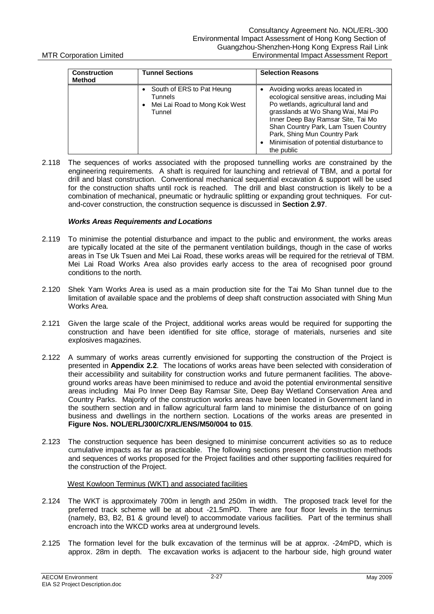| <b>Construction</b><br><b>Method</b> | <b>Tunnel Sections</b>                                                                 | <b>Selection Reasons</b>                                                                                                                                                                                                                                                                                                              |
|--------------------------------------|----------------------------------------------------------------------------------------|---------------------------------------------------------------------------------------------------------------------------------------------------------------------------------------------------------------------------------------------------------------------------------------------------------------------------------------|
|                                      | South of ERS to Pat Heung<br><b>Tunnels</b><br>Mei Lai Road to Mong Kok West<br>Tunnel | Avoiding works areas located in<br>ecological sensitive areas, including Mai<br>Po wetlands, agricultural land and<br>grasslands at Wo Shang Wai, Mai Po<br>Inner Deep Bay Ramsar Site, Tai Mo<br>Shan Country Park, Lam Tsuen Country<br>Park, Shing Mun Country Park<br>Minimisation of potential disturbance to<br>٠<br>the public |

2.118 The sequences of works associated with the proposed tunnelling works are constrained by the engineering requirements. A shaft is required for launching and retrieval of TBM, and a portal for drill and blast construction. Conventional mechanical sequential excavation & support will be used for the construction shafts until rock is reached. The drill and blast construction is likely to be a combination of mechanical, pneumatic or hydraulic splitting or expanding grout techniques. For cutand-cover construction, the construction sequence is discussed in **Section 2.97**.

### *Works Areas Requirements and Locations*

- 2.119 To minimise the potential disturbance and impact to the public and environment, the works areas are typically located at the site of the permanent ventilation buildings, though in the case of works areas in Tse Uk Tsuen and Mei Lai Road, these works areas will be required for the retrieval of TBM. Mei Lai Road Works Area also provides early access to the area of recognised poor ground conditions to the north.
- 2.120 Shek Yam Works Area is used as a main production site for the Tai Mo Shan tunnel due to the limitation of available space and the problems of deep shaft construction associated with Shing Mun Works Area.
- 2.121 Given the large scale of the Project, additional works areas would be required for supporting the construction and have been identified for site office, storage of materials, nurseries and site explosives magazines.
- 2.122 A summary of works areas currently envisioned for supporting the construction of the Project is presented in **Appendix 2.2**. The locations of works areas have been selected with consideration of their accessibility and suitability for construction works and future permanent facilities. The aboveground works areas have been minimised to reduce and avoid the potential environmental sensitive areas including Mai Po Inner Deep Bay Ramsar Site, Deep Bay Wetland Conservation Area and Country Parks. Majority of the construction works areas have been located in Government land in the southern section and in fallow agricultural farm land to minimise the disturbance of on going business and dwellings in the northern section. Locations of the works areas are presented in **Figure Nos. NOL/ERL/300/C/XRL/ENS/M50/004 to 015**.
- 2.123 The construction sequence has been designed to minimise concurrent activities so as to reduce cumulative impacts as far as practicable. The following sections present the construction methods and sequences of works proposed for the Project facilities and other supporting facilities required for the construction of the Project.

### West Kowloon Terminus (WKT) and associated facilities

- 2.124 The WKT is approximately 700m in length and 250m in width. The proposed track level for the preferred track scheme will be at about -21.5mPD. There are four floor levels in the terminus (namely, B3, B2, B1 & ground level) to accommodate various facilities. Part of the terminus shall encroach into the WKCD works area at underground levels.
- 2.125 The formation level for the bulk excavation of the terminus will be at approx. -24mPD, which is approx. 28m in depth. The excavation works is adjacent to the harbour side, high ground water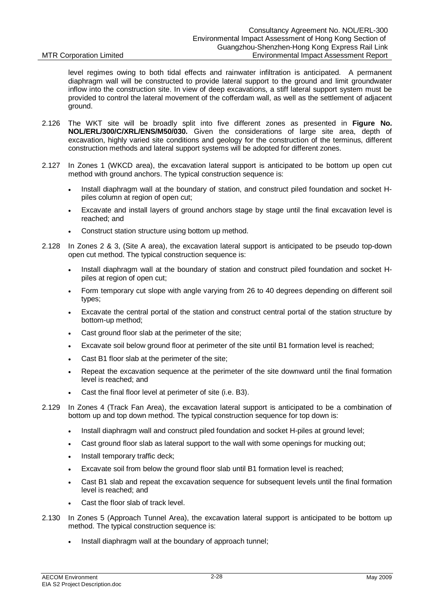level regimes owing to both tidal effects and rainwater infiltration is anticipated. A permanent diaphragm wall will be constructed to provide lateral support to the ground and limit groundwater inflow into the construction site. In view of deep excavations, a stiff lateral support system must be provided to control the lateral movement of the cofferdam wall, as well as the settlement of adjacent ground.

- 2.126 The WKT site will be broadly split into five different zones as presented in **Figure No. NOL/ERL/300/C/XRL/ENS/M50/030.** Given the considerations of large site area, depth of excavation, highly varied site conditions and geology for the construction of the terminus, different construction methods and lateral support systems will be adopted for different zones.
- 2.127 In Zones 1 (WKCD area), the excavation lateral support is anticipated to be bottom up open cut method with ground anchors. The typical construction sequence is:
	- Install diaphragm wall at the boundary of station, and construct piled foundation and socket Hpiles column at region of open cut;
	- x Excavate and install layers of ground anchors stage by stage until the final excavation level is reached; and
	- Construct station structure using bottom up method.
- 2.128 In Zones 2 & 3, (Site A area), the excavation lateral support is anticipated to be pseudo top-down open cut method. The typical construction sequence is:
	- Install diaphragm wall at the boundary of station and construct piled foundation and socket Hpiles at region of open cut;
	- Form temporary cut slope with angle varying from 26 to 40 degrees depending on different soil types;
	- Excavate the central portal of the station and construct central portal of the station structure by bottom-up method;
	- Cast ground floor slab at the perimeter of the site;
	- Excavate soil below ground floor at perimeter of the site until B1 formation level is reached;
	- Cast B1 floor slab at the perimeter of the site:
	- x Repeat the excavation sequence at the perimeter of the site downward until the final formation level is reached; and
	- Cast the final floor level at perimeter of site (i.e. B3).
- 2.129 In Zones 4 (Track Fan Area), the excavation lateral support is anticipated to be a combination of bottom up and top down method. The typical construction sequence for top down is:
	- Install diaphragm wall and construct piled foundation and socket H-piles at ground level;
	- Cast ground floor slab as lateral support to the wall with some openings for mucking out;
	- Install temporary traffic deck;
	- Excavate soil from below the ground floor slab until B1 formation level is reached:
	- Cast B1 slab and repeat the excavation sequence for subsequent levels until the final formation level is reached; and
	- Cast the floor slab of track level.
- 2.130 In Zones 5 (Approach Tunnel Area), the excavation lateral support is anticipated to be bottom up method. The typical construction sequence is:
	- Install diaphragm wall at the boundary of approach tunnel: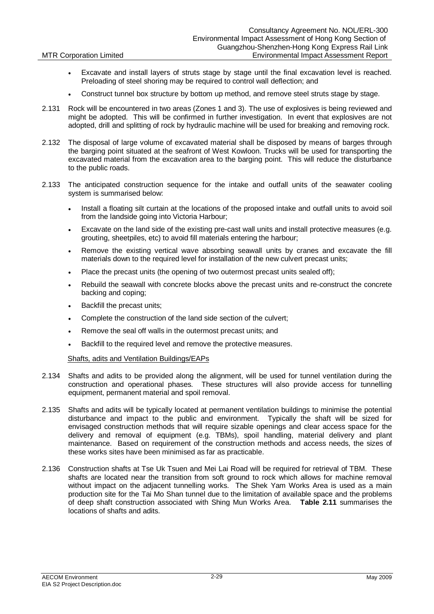- Excavate and install layers of struts stage by stage until the final excavation level is reached. Preloading of steel shoring may be required to control wall deflection; and
- Construct tunnel box structure by bottom up method, and remove steel struts stage by stage.
- 2.131 Rock will be encountered in two areas (Zones 1 and 3). The use of explosives is being reviewed and might be adopted. This will be confirmed in further investigation. In event that explosives are not adopted, drill and splitting of rock by hydraulic machine will be used for breaking and removing rock.
- 2.132 The disposal of large volume of excavated material shall be disposed by means of barges through the barging point situated at the seafront of West Kowloon. Trucks will be used for transporting the excavated material from the excavation area to the barging point. This will reduce the disturbance to the public roads.
- 2.133 The anticipated construction sequence for the intake and outfall units of the seawater cooling system is summarised below:
	- Install a floating silt curtain at the locations of the proposed intake and outfall units to avoid soil from the landside going into Victoria Harbour;
	- Excavate on the land side of the existing pre-cast wall units and install protective measures (e.g. grouting, sheetpiles, etc) to avoid fill materials entering the harbour;
	- Remove the existing vertical wave absorbing seawall units by cranes and excavate the fill materials down to the required level for installation of the new culvert precast units;
	- Place the precast units (the opening of two outermost precast units sealed off);
	- x Rebuild the seawall with concrete blocks above the precast units and re-construct the concrete backing and coping;
	- Backfill the precast units:
	- Complete the construction of the land side section of the culvert;
	- Remove the seal off walls in the outermost precast units; and
	- Backfill to the required level and remove the protective measures.

### Shafts, adits and Ventilation Buildings/EAPs

- 2.134 Shafts and adits to be provided along the alignment, will be used for tunnel ventilation during the construction and operational phases. These structures will also provide access for tunnelling equipment, permanent material and spoil removal.
- 2.135 Shafts and adits will be typically located at permanent ventilation buildings to minimise the potential disturbance and impact to the public and environment. Typically the shaft will be sized for envisaged construction methods that will require sizable openings and clear access space for the delivery and removal of equipment (e.g. TBMs), spoil handling, material delivery and plant maintenance. Based on requirement of the construction methods and access needs, the sizes of these works sites have been minimised as far as practicable.
- 2.136 Construction shafts at Tse Uk Tsuen and Mei Lai Road will be required for retrieval of TBM. These shafts are located near the transition from soft ground to rock which allows for machine removal without impact on the adjacent tunnelling works. The Shek Yam Works Area is used as a main production site for the Tai Mo Shan tunnel due to the limitation of available space and the problems of deep shaft construction associated with Shing Mun Works Area. **Table 2.11** summarises the locations of shafts and adits.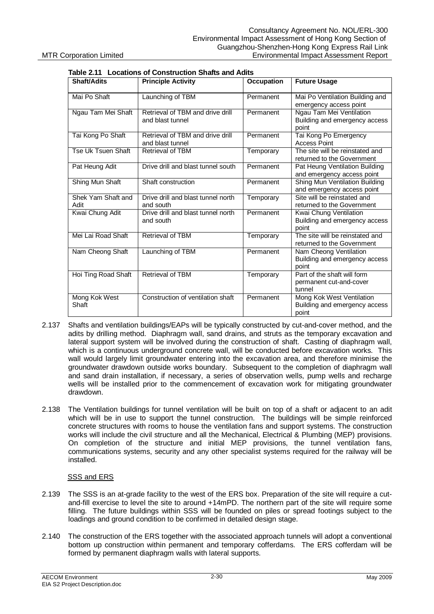| Shaft/Adits                | <b>Principle Activity</b>                            | <b>Occupation</b> | <b>Future Usage</b>                                                 |
|----------------------------|------------------------------------------------------|-------------------|---------------------------------------------------------------------|
| Mai Po Shaft               | Launching of TBM                                     | Permanent         | Mai Po Ventilation Building and<br>emergency access point           |
| Ngau Tam Mei Shaft         | Retrieval of TBM and drive drill<br>and blast tunnel | Permanent         | Ngau Tam Mei Ventilation<br>Building and emergency access<br>point  |
| Tai Kong Po Shaft          | Retrieval of TBM and drive drill<br>and blast tunnel | Permanent         | Tai Kong Po Emergency<br><b>Access Point</b>                        |
| Tse Uk Tsuen Shaft         | Retrieval of TBM                                     | Temporary         | The site will be reinstated and<br>returned to the Government       |
| Pat Heung Adit             | Drive drill and blast tunnel south                   | Permanent         | Pat Heung Ventilation Building<br>and emergency access point        |
| Shing Mun Shaft            | Shaft construction                                   | Permanent         | Shing Mun Ventilation Building<br>and emergency access point        |
| Shek Yam Shaft and<br>Adit | Drive drill and blast tunnel north<br>and south      | Temporary         | Site will be reinstated and<br>returned to the Government           |
| Kwai Chung Adit            | Drive drill and blast tunnel north<br>and south      | Permanent         | Kwai Chung Ventilation<br>Building and emergency access<br>point    |
| Mei Lai Road Shaft         | <b>Retrieval of TBM</b>                              | Temporary         | The site will be reinstated and<br>returned to the Government       |
| Nam Cheong Shaft           | Launching of TBM                                     | Permanent         | Nam Cheong Ventilation<br>Building and emergency access<br>point    |
| Hoi Ting Road Shaft        | <b>Retrieval of TBM</b>                              | Temporary         | Part of the shaft will form<br>permanent cut-and-cover<br>tunnel    |
| Mong Kok West<br>Shaft     | Construction of ventilation shaft                    | Permanent         | Mong Kok West Ventilation<br>Building and emergency access<br>point |

### **Table 2.11 Locations of Construction Shafts and Adits**

- 2.137 Shafts and ventilation buildings/EAPs will be typically constructed by cut-and-cover method, and the adits by drilling method. Diaphragm wall, sand drains, and struts as the temporary excavation and lateral support system will be involved during the construction of shaft. Casting of diaphragm wall, which is a continuous underground concrete wall, will be conducted before excavation works. This wall would largely limit groundwater entering into the excavation area, and therefore minimise the groundwater drawdown outside works boundary. Subsequent to the completion of diaphragm wall and sand drain installation, if necessary, a series of observation wells, pump wells and recharge wells will be installed prior to the commencement of excavation work for mitigating groundwater drawdown.
- 2.138 The Ventilation buildings for tunnel ventilation will be built on top of a shaft or adjacent to an adit which will be in use to support the tunnel construction. The buildings will be simple reinforced concrete structures with rooms to house the ventilation fans and support systems. The construction works will include the civil structure and all the Mechanical, Electrical & Plumbing (MEP) provisions. On completion of the structure and initial MEP provisions, the tunnel ventilation fans, communications systems, security and any other specialist systems required for the railway will be installed.

### SSS and ERS

- 2.139 The SSS is an at-grade facility to the west of the ERS box. Preparation of the site will require a cutand-fill exercise to level the site to around +14mPD. The northern part of the site will require some filling. The future buildings within SSS will be founded on piles or spread footings subject to the loadings and ground condition to be confirmed in detailed design stage.
- 2.140 The construction of the ERS together with the associated approach tunnels will adopt a conventional bottom up construction within permanent and temporary cofferdams. The ERS cofferdam will be formed by permanent diaphragm walls with lateral supports.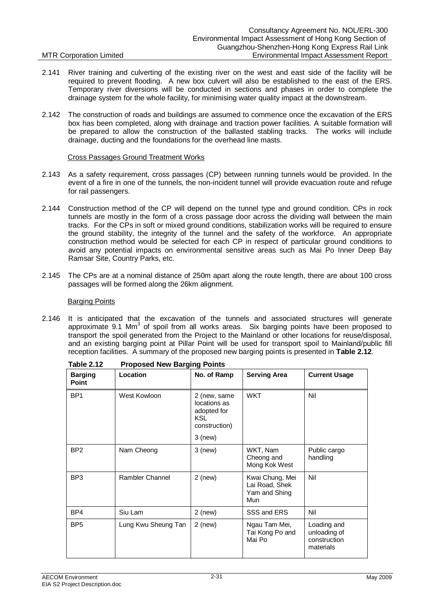### 2.141 River training and culverting of the existing river on the west and east side of the facility will be required to prevent flooding. A new box culvert will also be established to the east of the ERS. Temporary river diversions will be conducted in sections and phases in order to complete the drainage system for the whole facility, for minimising water quality impact at the downstream.

2.142 The construction of roads and buildings are assumed to commence once the excavation of the ERS box has been completed, along with drainage and traction power facilities. A suitable formation will be prepared to allow the construction of the ballasted stabling tracks. The works will include drainage, ducting and the foundations for the overhead line masts.

### Cross Passages Ground Treatment Works

- 2.143 As a safety requirement, cross passages (CP) between running tunnels would be provided. In the event of a fire in one of the tunnels, the non-incident tunnel will provide evacuation route and refuge for rail passengers.
- 2.144 Construction method of the CP will depend on the tunnel type and ground condition. CPs in rock tunnels are mostly in the form of a cross passage door across the dividing wall between the main tracks. For the CPs in soft or mixed ground conditions, stabilization works will be required to ensure the ground stability, the integrity of the tunnel and the safety of the workforce. An appropriate construction method would be selected for each CP in respect of particular ground conditions to avoid any potential impacts on environmental sensitive areas such as Mai Po Inner Deep Bay Ramsar Site, Country Parks, etc.
- 2.145 The CPs are at a nominal distance of 250m apart along the route length, there are about 100 cross passages will be formed along the 26km alignment.

### Barging Points

2.146 It is anticipated that the excavation of the tunnels and associated structures will generate approximate 9.1 Mm<sup>3</sup> of spoil from all works areas. Six barging points have been proposed to transport the spoil generated from the Project to the Mainland or other locations for reuse/disposal, and an existing barging point at Pillar Point will be used for transport spoil to Mainland/public fill reception facilities. A summary of the proposed new barging points is presented in **Table 2.12**.

| <b>Barging</b><br><b>Point</b> | Location            | No. of Ramp                                                                             | <b>Serving Area</b>                                       | <b>Current Usage</b>                                     |
|--------------------------------|---------------------|-----------------------------------------------------------------------------------------|-----------------------------------------------------------|----------------------------------------------------------|
| BP <sub>1</sub>                | West Kowloon        | 2 (new, same<br>locations as<br>adopted for<br><b>KSL</b><br>construction)<br>$3$ (new) | <b>WKT</b>                                                | Nil                                                      |
| BP <sub>2</sub>                | Nam Cheong          | $3$ (new)                                                                               | WKT, Nam<br>Cheong and<br>Mong Kok West                   | Public cargo<br>handling                                 |
| BP <sub>3</sub>                | Rambler Channel     | $2$ (new)                                                                               | Kwai Chung, Mei<br>Lai Road, Shek<br>Yam and Shing<br>Mun | Nil                                                      |
| BP4                            | Siu Lam             | $2$ (new)                                                                               | SSS and ERS                                               | Nil                                                      |
| BP <sub>5</sub>                | Lung Kwu Sheung Tan | $2$ (new)                                                                               | Ngau Tam Mei,<br>Tai Kong Po and<br>Mai Po                | Loading and<br>unloading of<br>construction<br>materials |

**Table 2.12 Proposed New Barging Points**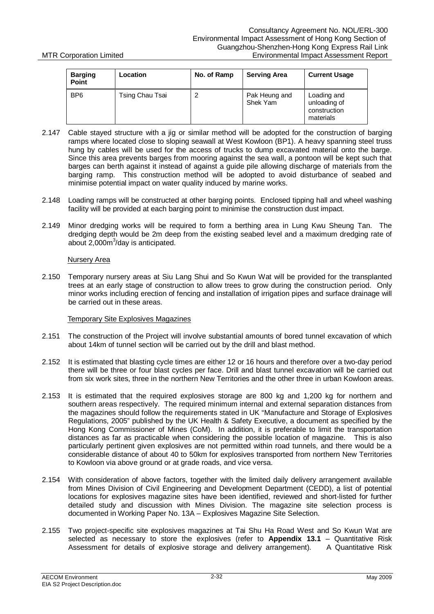| <b>Barging</b><br>Point | Location        | No. of Ramp | <b>Serving Area</b>       | <b>Current Usage</b>                                     |
|-------------------------|-----------------|-------------|---------------------------|----------------------------------------------------------|
| BP <sub>6</sub>         | Tsing Chau Tsai | 2           | Pak Heung and<br>Shek Yam | Loading and<br>unloading of<br>construction<br>materials |

- 2.147 Cable stayed structure with a jig or similar method will be adopted for the construction of barging ramps where located close to sloping seawall at West Kowloon (BP1). A heavy spanning steel truss hung by cables will be used for the access of trucks to dump excavated material onto the barge. Since this area prevents barges from mooring against the sea wall, a pontoon will be kept such that barges can berth against it instead of against a guide pile allowing discharge of materials from the barging ramp. This construction method will be adopted to avoid disturbance of seabed and minimise potential impact on water quality induced by marine works.
- 2.148 Loading ramps will be constructed at other barging points. Enclosed tipping hall and wheel washing facility will be provided at each barging point to minimise the construction dust impact.
- 2.149 Minor dredging works will be required to form a berthing area in Lung Kwu Sheung Tan. The dredging depth would be 2m deep from the existing seabed level and a maximum dredging rate of about 2,000m<sup>3</sup>/day is anticipated.

### Nursery Area

2.150 Temporary nursery areas at Siu Lang Shui and So Kwun Wat will be provided for the transplanted trees at an early stage of construction to allow trees to grow during the construction period. Only minor works including erection of fencing and installation of irrigation pipes and surface drainage will be carried out in these areas.

### Temporary Site Explosives Magazines

- 2.151 The construction of the Project will involve substantial amounts of bored tunnel excavation of which about 14km of tunnel section will be carried out by the drill and blast method.
- 2.152 It is estimated that blasting cycle times are either 12 or 16 hours and therefore over a two-day period there will be three or four blast cycles per face. Drill and blast tunnel excavation will be carried out from six work sites, three in the northern New Territories and the other three in urban Kowloon areas.
- 2.153 It is estimated that the required explosives storage are 800 kg and 1,200 kg for northern and southern areas respectively. The required minimum internal and external separation distances from the magazines should follow the requirements stated in UK "Manufacture and Storage of Explosives Regulations, 2005" published by the UK Health & Safety Executive, a document as specified by the Hong Kong Commissioner of Mines (CoM). In addition, it is preferable to limit the transportation distances as far as practicable when considering the possible location of magazine. This is also particularly pertinent given explosives are not permitted within road tunnels, and there would be a considerable distance of about 40 to 50km for explosives transported from northern New Territories to Kowloon via above ground or at grade roads, and vice versa.
- 2.154 With consideration of above factors, together with the limited daily delivery arrangement available from Mines Division of Civil Engineering and Development Department (CEDD), a list of potential locations for explosives magazine sites have been identified, reviewed and short-listed for further detailed study and discussion with Mines Division. The magazine site selection process is documented in Working Paper No. 13A – Explosives Magazine Site Selection.
- 2.155 Two project-specific site explosives magazines at Tai Shu Ha Road West and So Kwun Wat are selected as necessary to store the explosives (refer to **Appendix 13.1** – Quantitative Risk Assessment for details of explosive storage and delivery arrangement). A Quantitative Risk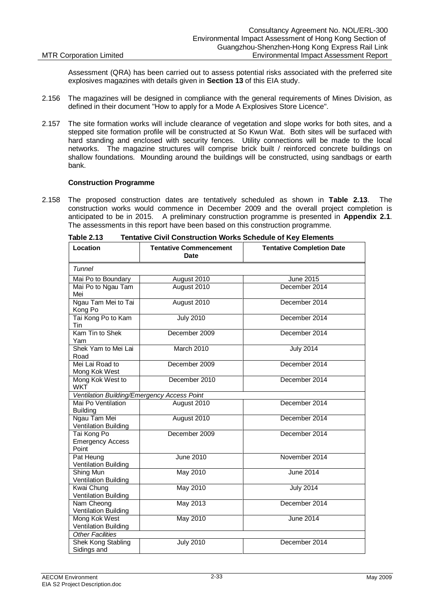Assessment (QRA) has been carried out to assess potential risks associated with the preferred site explosives magazines with details given in **Section 13** of this EIA study.

- 2.156 The magazines will be designed in compliance with the general requirements of Mines Division, as defined in their document "How to apply for a Mode A Explosives Store Licence".
- 2.157 The site formation works will include clearance of vegetation and slope works for both sites, and a stepped site formation profile will be constructed at So Kwun Wat. Both sites will be surfaced with hard standing and enclosed with security fences. Utility connections will be made to the local networks. The magazine structures will comprise brick built / reinforced concrete buildings on shallow foundations. Mounding around the buildings will be constructed, using sandbags or earth bank.

### **Construction Programme**

2.158 The proposed construction dates are tentatively scheduled as shown in **Table 2.13**. The construction works would commence in December 2009 and the overall project completion is anticipated to be in 2015. A preliminary construction programme is presented in **Appendix 2.1**. The assessments in this report have been based on this construction programme.

| Location                                        | <b>Tentative Commencement</b><br><b>Date</b> | <b>Tentative Completion Date</b> |  |  |
|-------------------------------------------------|----------------------------------------------|----------------------------------|--|--|
| Tunnel                                          |                                              |                                  |  |  |
| Mai Po to Boundary                              | August 2010                                  | June 2015                        |  |  |
| Mai Po to Ngau Tam<br>Mei                       | August 2010                                  | December 2014                    |  |  |
| Ngau Tam Mei to Tai<br>Kong Po                  | August 2010                                  | December 2014                    |  |  |
| Tai Kong Po to Kam<br>Tin                       | <b>July 2010</b>                             | December 2014                    |  |  |
| Kam Tin to Shek<br>Yam                          | December 2009                                | December 2014                    |  |  |
| Shek Yam to Mei Lai<br>Road                     | March 2010                                   | <b>July 2014</b>                 |  |  |
| Mei Lai Road to<br>Mong Kok West                | December 2009                                | December 2014                    |  |  |
| Mong Kok West to<br><b>WKT</b>                  | December 2010                                | December 2014                    |  |  |
| Ventilation Building/Emergency Access Point     |                                              |                                  |  |  |
| Mai Po Ventilation<br><b>Building</b>           | August 2010                                  | December 2014                    |  |  |
| Ngau Tam Mei<br>Ventilation Building            | August 2010                                  | December 2014                    |  |  |
| Tai Kong Po<br><b>Emergency Access</b><br>Point | December 2009                                | December 2014                    |  |  |
| Pat Heung<br>Ventilation Building               | <b>June 2010</b>                             | November 2014                    |  |  |
| Shing Mun<br>Ventilation Building               | <b>May 2010</b>                              | <b>June 2014</b>                 |  |  |
| Kwai Chung<br>Ventilation Building              | May 2010                                     | <b>July 2014</b>                 |  |  |
| Nam Cheong<br>Ventilation Building              | May 2013                                     | December 2014                    |  |  |
| Mong Kok West<br><b>Ventilation Building</b>    | <b>May 2010</b>                              | June 2014                        |  |  |
| <b>Other Facilities</b>                         |                                              |                                  |  |  |
| Shek Kong Stabling<br>Sidings and               | <b>July 2010</b>                             | December 2014                    |  |  |

**Table 2.13 Tentative Civil Construction Works Schedule of Key Elements**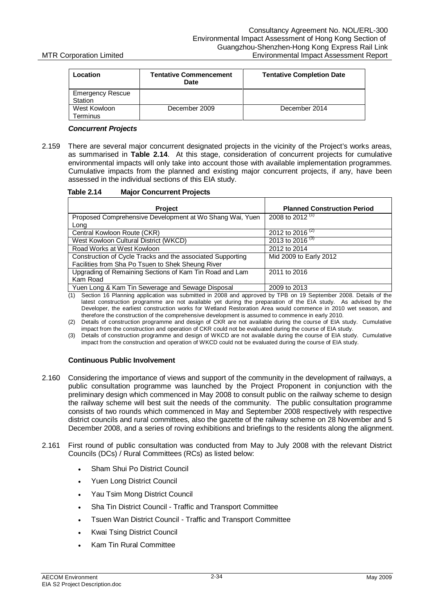| Location                           | <b>Tentative Commencement</b><br>Date | <b>Tentative Completion Date</b> |
|------------------------------------|---------------------------------------|----------------------------------|
| <b>Emergency Rescue</b><br>Station |                                       |                                  |
| West Kowloon<br><b>Ferminus</b>    | December 2009                         | December 2014                    |

### *Concurrent Projects*

2.159 There are several major concurrent designated projects in the vicinity of the Project's works areas, as summarised in **Table 2.14**. At this stage, consideration of concurrent projects for cumulative environmental impacts will only take into account those with available implementation programmes. Cumulative impacts from the planned and existing major concurrent projects, if any, have been assessed in the individual sections of this EIA study.

|  | Table 2.14 | <b>Major Concurrent Projects</b> |  |
|--|------------|----------------------------------|--|
|--|------------|----------------------------------|--|

| <b>Project</b>                                             | <b>Planned Construction Period</b> |
|------------------------------------------------------------|------------------------------------|
| Proposed Comprehensive Development at Wo Shang Wai, Yuen   | 2008 to 2012 <sup>(1)</sup>        |
| Long                                                       |                                    |
| Central Kowloon Route (CKR)                                | 2012 to 2016 <sup>(2)</sup>        |
| West Kowloon Cultural District (WKCD)                      | 2013 to 2016 <sup>(3)</sup>        |
| Road Works at West Kowloon                                 | 2012 to 2014                       |
| Construction of Cycle Tracks and the associated Supporting | Mid 2009 to Early 2012             |
| Facilities from Sha Po Tsuen to Shek Sheung River          |                                    |
| Upgrading of Remaining Sections of Kam Tin Road and Lam    | 2011 to 2016                       |
| Kam Road                                                   |                                    |
| Yuen Long & Kam Tin Sewerage and Sewage Disposal           | 2009 to 2013                       |

(1) Section 16 Planning application was submitted in 2008 and approved by TPB on 19 September 2008. Details of the latest construction programme are not available yet during the preparation of the EIA study. As advised by the Developer, the earliest construction works for Wetland Restoration Area would commence in 2010 wet season, and therefore the construction of the comprehensive development is assumed to commence in early 2010.

- (2) Details of construction programme and design of CKR are not available during the course of EIA study. Cumulative impact from the construction and operation of CKR could not be evaluated during the course of EIA study.
- (3) Details of construction programme and design of WKCD are not available during the course of EIA study. Cumulative impact from the construction and operation of WKCD could not be evaluated during the course of EIA study.

### **Continuous Public Involvement**

- 2.160 Considering the importance of views and support of the community in the development of railways, a public consultation programme was launched by the Project Proponent in conjunction with the preliminary design which commenced in May 2008 to consult public on the railway scheme to design the railway scheme will best suit the needs of the community. The public consultation programme consists of two rounds which commenced in May and September 2008 respectively with respective district councils and rural committees, also the gazette of the railway scheme on 28 November and 5 December 2008, and a series of roving exhibitions and briefings to the residents along the alignment.
- 2.161 First round of public consultation was conducted from May to July 2008 with the relevant District Councils (DCs) / Rural Committees (RCs) as listed below:
	- Sham Shui Po District Council
	- Yuen Long District Council
	- Yau Tsim Mong District Council
	- Sha Tin District Council Traffic and Transport Committee
	- Tsuen Wan District Council Traffic and Transport Committee
	- **Kwai Tsing District Council**
	- Kam Tin Rural Committee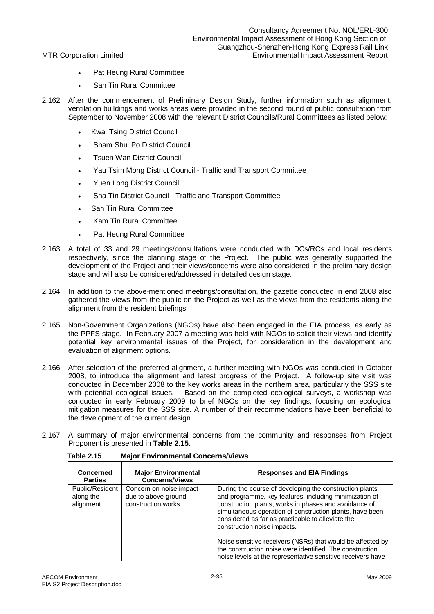- Pat Heung Rural Committee
- San Tin Rural Committee
- 2.162 After the commencement of Preliminary Design Study, further information such as alignment, ventilation buildings and works areas were provided in the second round of public consultation from September to November 2008 with the relevant District Councils/Rural Committees as listed below:
	- **Kwai Tsing District Council**
	- Sham Shui Po District Council
	- **Tsuen Wan District Council**
	- Yau Tsim Mong District Council Traffic and Transport Committee
	- x Yuen Long District Council
	- Sha Tin District Council Traffic and Transport Committee
	- San Tin Rural Committee
	- x Kam Tin Rural Committee
	- Pat Heung Rural Committee
- 2.163 A total of 33 and 29 meetings/consultations were conducted with DCs/RCs and local residents respectively, since the planning stage of the Project. The public was generally supported the development of the Project and their views/concerns were also considered in the preliminary design stage and will also be considered/addressed in detailed design stage.
- 2.164 In addition to the above-mentioned meetings/consultation, the gazette conducted in end 2008 also gathered the views from the public on the Project as well as the views from the residents along the alignment from the resident briefings.
- 2.165 Non-Government Organizations (NGOs) have also been engaged in the EIA process, as early as the PPFS stage. In February 2007 a meeting was held with NGOs to solicit their views and identify potential key environmental issues of the Project, for consideration in the development and evaluation of alignment options.
- 2.166 After selection of the preferred alignment, a further meeting with NGOs was conducted in October 2008, to introduce the alignment and latest progress of the Project. A follow-up site visit was conducted in December 2008 to the key works areas in the northern area, particularly the SSS site with potential ecological issues. Based on the completed ecological surveys, a workshop was conducted in early February 2009 to brief NGOs on the key findings, focusing on ecological mitigation measures for the SSS site. A number of their recommendations have been beneficial to the development of the current design.
- 2.167 A summary of major environmental concerns from the community and responses from Project Proponent is presented in **Table 2.15**.

| Concerned<br><b>Parties</b>               | <b>Major Environmental</b><br><b>Concerns/Views</b>                  | <b>Responses and EIA Findings</b>                                                                                                                                                                                                                                                                                                                                                                                                                                                                                   |
|-------------------------------------------|----------------------------------------------------------------------|---------------------------------------------------------------------------------------------------------------------------------------------------------------------------------------------------------------------------------------------------------------------------------------------------------------------------------------------------------------------------------------------------------------------------------------------------------------------------------------------------------------------|
| Public/Resident<br>along the<br>alignment | Concern on noise impact<br>due to above-ground<br>construction works | During the course of developing the construction plants<br>and programme, key features, including minimization of<br>construction plants, works in phases and avoidance of<br>simultaneous operation of construction plants, have been<br>considered as far as practicable to alleviate the<br>construction noise impacts.<br>Noise sensitive receivers (NSRs) that would be affected by<br>the construction noise were identified. The construction<br>noise levels at the representative sensitive receivers have |

**Table 2.15 Major Environmental Concerns/Views**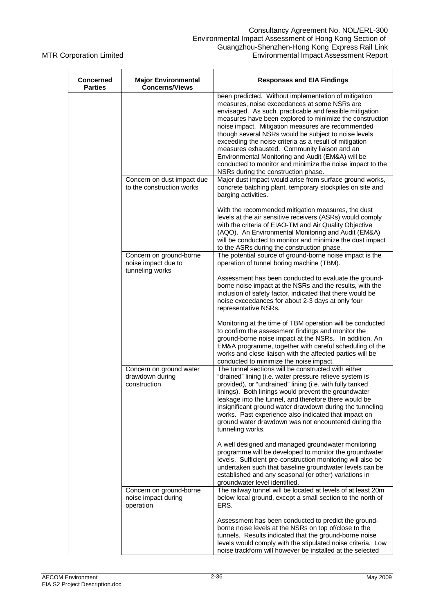| <b>Concerned</b><br><b>Parties</b> | <b>Major Environmental</b><br><b>Concerns/Views</b>               | <b>Responses and EIA Findings</b>                                                                                                                                                                                                                                                                                                                                                                                                                                                                                                                                                                           |
|------------------------------------|-------------------------------------------------------------------|-------------------------------------------------------------------------------------------------------------------------------------------------------------------------------------------------------------------------------------------------------------------------------------------------------------------------------------------------------------------------------------------------------------------------------------------------------------------------------------------------------------------------------------------------------------------------------------------------------------|
|                                    |                                                                   | been predicted. Without implementation of mitigation<br>measures, noise exceedances at some NSRs are<br>envisaged. As such, practicable and feasible mitigation<br>measures have been explored to minimize the construction<br>noise impact. Mitigation measures are recommended<br>though several NSRs would be subject to noise levels<br>exceeding the noise criteria as a result of mitigation<br>measures exhausted. Community liaison and an<br>Environmental Monitoring and Audit (EM&A) will be<br>conducted to monitor and minimize the noise impact to the<br>NSRs during the construction phase. |
|                                    | Concern on dust impact due<br>to the construction works           | Major dust impact would arise from surface ground works,<br>concrete batching plant, temporary stockpiles on site and<br>barging activities.                                                                                                                                                                                                                                                                                                                                                                                                                                                                |
|                                    |                                                                   | With the recommended mitigation measures, the dust<br>levels at the air sensitive receivers (ASRs) would comply<br>with the criteria of EIAO-TM and Air Quality Objective<br>(AQO). An Environmental Monitoring and Audit (EM&A)<br>will be conducted to monitor and minimize the dust impact<br>to the ASRs during the construction phase.                                                                                                                                                                                                                                                                 |
|                                    | Concern on ground-borne<br>noise impact due to<br>tunneling works | The potential source of ground-borne noise impact is the<br>operation of tunnel boring machine (TBM).                                                                                                                                                                                                                                                                                                                                                                                                                                                                                                       |
|                                    |                                                                   | Assessment has been conducted to evaluate the ground-<br>borne noise impact at the NSRs and the results, with the<br>inclusion of safety factor, indicated that there would be<br>noise exceedances for about 2-3 days at only four<br>representative NSRs.                                                                                                                                                                                                                                                                                                                                                 |
|                                    |                                                                   | Monitoring at the time of TBM operation will be conducted<br>to confirm the assessment findings and monitor the<br>ground-borne noise impact at the NSRs. In addition, An<br>EM&A programme, together with careful scheduling of the<br>works and close liaison with the affected parties will be<br>conducted to minimize the noise impact.                                                                                                                                                                                                                                                                |
|                                    | Concern on ground water<br>drawdown during<br>construction        | The tunnel sections will be constructed with either<br>"drained" lining (i.e. water pressure relieve system is<br>provided), or "undrained" lining (i.e. with fully tanked<br>linings). Both linings would prevent the groundwater<br>leakage into the tunnel, and therefore there would be<br>insignificant ground water drawdown during the tunneling<br>works. Past experience also indicated that impact on<br>ground water drawdown was not encountered during the<br>tunneling works.                                                                                                                 |
|                                    |                                                                   | A well designed and managed groundwater monitoring<br>programme will be developed to monitor the groundwater<br>levels. Sufficient pre-construction monitoring will also be<br>undertaken such that baseline groundwater levels can be<br>established and any seasonal (or other) variations in<br>groundwater level identified.                                                                                                                                                                                                                                                                            |
|                                    | Concern on ground-borne<br>noise impact during<br>operation       | The railway tunnel will be located at levels of at least 20m<br>below local ground, except a small section to the north of<br>ERS.                                                                                                                                                                                                                                                                                                                                                                                                                                                                          |
|                                    |                                                                   | Assessment has been conducted to predict the ground-<br>borne noise levels at the NSRs on top of/close to the<br>tunnels. Results indicated that the ground-borne noise<br>levels would comply with the stipulated noise criteria. Low<br>noise trackform will however be installed at the selected                                                                                                                                                                                                                                                                                                         |